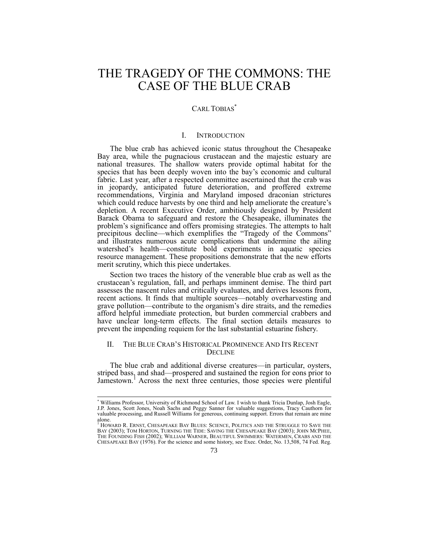# THE TRAGEDY OF THE COMMONS: THE CASE OF THE BLUE CRAB

# CARL TOBIAS<sup>\*</sup>

## I. INTRODUCTION

The blue crab has achieved iconic status throughout the Chesapeake Bay area, while the pugnacious crustacean and the majestic estuary are national treasures. The shallow waters provide optimal habitat for the species that has been deeply woven into the bay's economic and cultural fabric. Last year, after a respected committee ascertained that the crab was in jeopardy, anticipated future deterioration, and proffered extreme recommendations, Virginia and Maryland imposed draconian strictures which could reduce harvests by one third and help ameliorate the creature's depletion. A recent Executive Order, ambitiously designed by President Barack Obama to safeguard and restore the Chesapeake, illuminates the problem's significance and offers promising strategies. The attempts to halt precipitous decline—which exemplifies the "Tragedy of the Commons" and illustrates numerous acute complications that undermine the ailing watershed's health—constitute bold experiments in aquatic species resource management. These propositions demonstrate that the new efforts merit scrutiny, which this piece undertakes.

Section two traces the history of the venerable blue crab as well as the crustacean's regulation, fall, and perhaps imminent demise. The third part assesses the nascent rules and critically evaluates, and derives lessons from, recent actions. It finds that multiple sources—notably overharvesting and grave pollution—contribute to the organism's dire straits, and the remedies afford helpful immediate protection, but burden commercial crabbers and have unclear long-term effects. The final section details measures to prevent the impending requiem for the last substantial estuarine fishery.

## II. THE BLUE CRAB'S HISTORICAL PROMINENCE AND ITS RECENT **DECLINE**

The blue crab and additional diverse creatures—in particular, oysters, striped bass, and shad—prospered and sustained the region for eons prior to Jamestown.<sup>1</sup> Across the next three centuries, those species were plentiful

<sup>\*</sup> Williams Professor, University of Richmond School of Law. I wish to thank Tricia Dunlap, Josh Eagle, J.P. Jones, Scott Jones, Noah Sachs and Peggy Sanner for valuable suggestions, Tracy Cauthorn for valuable processing, and Russell Williams for generous, continuing support. Errors that remain are mine alone.

<sup>1</sup> HOWARD R. ERNST, CHESAPEAKE BAY BLUES: SCIENCE, POLITICS AND THE STRUGGLE TO SAVE THE BAY (2003); TOM HORTON, TURNING THE TIDE: SAVING THE CHESAPEAKE BAY (2003); JOHN MCPHEE, THE FOUNDING FISH (2002); WILLIAM WARNER, BEAUTIFUL SWIMMERS: WATERMEN, CRABS AND THE CHESAPEAKE BAY (1976). For the science and some history, see Exec. Order, No. 13,508, 74 Fed. Reg.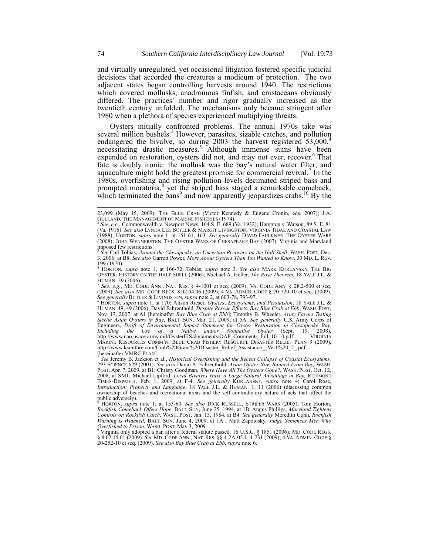and virtually unregulated, yet occasional litigation fostered specific judicial decisions that accorded the creatures a modicum of protection.<sup>2</sup> The two adjacent states began controlling harvests around 1940. The restrictions which covered mollusks, anadromous finfish, and crustaceans obviously differed. The practices' number and rigor gradually increased as the twentieth century unfolded. The mechanisms only became stringent after 1980 when a plethora of species experienced multiplying threats.

Oysters initially confronted problems. The annual 1970s take was several million bushels.<sup>3</sup> However, parasites, sizable catches, and pollution endangered the bivalve, so during 2003 the harvest registered  $53,000$ ,<sup>4</sup> necessitating drastic measures.<sup>5</sup> Although immense sums have been expended on restoration, oysters did not, and may not ever, recover.<sup>6</sup> That fate is doubly ironic: the mollusk was the bay's natural water filter, and aquaculture might hold the greatest promise for commercial revival.<sup>7</sup> In the 1980s, overfishing and rising pollution levels decimated striped bass and prompted moratoria,<sup>8</sup> yet the striped bass staged a remarkable comeback, which terminated the bans<sup>9</sup> and now apparently jeopardizes crabs.<sup>10</sup> By the

5 *See, e.g.*, MD. CODE ANN., NAT. RES. § 4-1001 et seq. (2009); VA. CODE ANN. § 28.2-500 et seq. (2009). *Šee also* MD. CODE REGS. 8.02.04.06 (2009); 4 VA. ADMIN. CODE § 20-720-10 et seq. (2009).<br>*See generally* BUTLER & LIVINGSTON, *supra* note 2, at 603-78, 793-97.<br><sup>6</sup> HORTON, *supra* note 1, at 170; Alison Rieser,

HUMAN. 49, 49 (2006); David Fahrenthold, *Despite Rescue Efforts, Bay Blue Crab at Ebb*, WASH. POST,<br>Nov. 17, 2007, at A1 [hereinafter *Bay Blue Crab at Ebb*]; Timothy B. Wheeler, Army Favors Testing *Sterile Asian Oysters in Bay*, BALT. SUN, Mar. 21, 2009, at 5A. *See generally* U.S. Army Corps of Engineers, *Draft of Environmental Impact Statement for Oyster Restoration in Chesapeake Bay, Including the Use of a Native and/or Nonnative Oyster* (Sept. 19, 2008), *Including the Use of a Native and/or Nonnative Oyster* (Sept. 19, 2008),<br>http://www.nao.usace.army.mil/OysterEIS/documents/OAP Comments full 10-10.pdf; VIRGINIA MARINE RESOURCES COMM'N, BLUE CRAB FISHERY RESOURCE DISASTER RELIEF PLAN 9 (2009),<br>http://www.ksmithre.com/Crab%20Grant%20Disaster Relief Assistance Ver1%20\_2\_.pdf [hereinafter VMRC PLAN].

*See* Jeremy B. Jackson et al., *Historical Overfishing and the Recent Collapse of Coastal Ecosystems,*  293 SCIENCE 629 (2001). *See also* David A. Fahrenthold, *Asian Oyster Now Banned From Bay,* WASH. POST, Apr. 7, 2009, at B1; Christy Goodman, *Where Have All The Oysters Gone?,* WASH. POST, Oct. 12, 2008, at SM1; Michael Lipford, *Local Bivalves Have a Large Natural Advantage in Bay,* RICHMOND TIMES-DISPATCH, Feb. 1, 2009, at F-4. *See generally* KURLANSKY, *supra* note 4; Carol Rose, *Introduction: Property and Language*, 18 YALE J.L. & HUMAN. 1, 11 (2006) (discussing common ownership of beaches and recreational areas and the self-contradictory nature of acts that affect the public adversely).

<sup>8</sup> HORTON, *supra* note 1, at 153-60. *See also* DICK RUSSELL, STRIPER WARS (2005); Tom Horton, *Rockfish Comeback Offers Hope*, BALT. SUN, June 25, 1994, at 1B; Angus Phillips, *Maryland Tightens*<br>*Controls on Rockfish C Warning is Widened*, BALT. SUN, June 4, 2009, at 1A ; Matt Zapotosky, *Judge Sentences Men Who Overfished to Prison*, WASH. POST, May 3, 2009.

<sup>9</sup> Virginia only adopted a ban after a federal statute passed. 16 U.S.C. § 1851 (2006); MD. CODE REGS. § 8.02.15.01 (2009). *See* MD. CODE ANN., NAT. RES. §§ 4-2A-05.1, 4-731 (2009); 4 VA. ADMIN. CODE § 20-252-10 et seq. (2009). *See also Bay Blue Crab at Ebb*, *supra* note 6.

<sup>23,099 (</sup>May 15, 2009); THE BLUE CRAB (Victor Kennedy & Eugene Cronin, eds. 2007); J.A. GULLAND, THE MANAGEMENT OF MARINE FISHERIES (1974).

<sup>2</sup> *See*, *e.g.*, Commonwealth v. Newport News, 164 S. E. 689 (Va. 1932); Hampton v. Watson, 89 S. E. 81 (Va. 1916). *See also* LYNDA LEE BUTLER & MARGIT LIVINGSTON, VIRGINIA TIDAL AND COASTAL LAW (1988); HORTON, *supra* note 1, at 151-61, 163. *See generally* DAVID FAULKNER, THE OYSTER WARS (2008); JOHN WENNERSTEN, THE OYSTER WARS OF CHESAPEAKE BAY (2007). Virginia and Maryland imposed few restrictions.

*See* Carl Tobias, *Around the Chesapeake*, *an Uncertain Recovery on the Half Shell*, WASH. POST, Dec. 3, 2006, at B8. *See also* Garrett Power, *More About Oysters Than You Wanted to Know*, 30 MD. L. REV.  $199(1970)$ .

<sup>4</sup> HORTON, *supra* note 1, at 166-72; Tobias, *supra* note 3. *See also* MARK KURLANSKY, THE BIG OYSTER: HISTORY ON THE HALF SHELL (2006); Michael A. Heller, *The Rose Theorem*, 18 YALE J.L. & HUMAN. 29 (2006).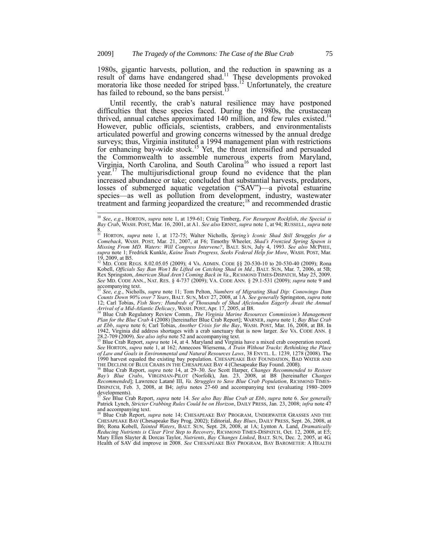1980s, gigantic harvests, pollution, and the reduction in spawning as a result of dams have endangered shad.<sup>11</sup> These developments provoked moratoria like those needed for striped bass.<sup>12</sup> Unfortunately, the creature has failed to rebound, so the bans persist.<sup>13</sup>

Until recently, the crab's natural resilience may have postponed difficulties that these species faced. During the 1980s, the crustacean thrived, annual catches approximated 140 million, and few rules existed.<sup>14</sup> However, public officials, scientists, crabbers, and environmentalists articulated powerful and growing concerns witnessed by the annual dredge surveys; thus, Virginia instituted a 1994 management plan with restrictions for enhancing bay-wide stock.<sup>15</sup> Yet, the threat intensified and persuaded the Commonwealth to assemble numerous experts from Maryland, Virginia, North Carolina, and South Carolina<sup>16</sup> who issued a report last  $\gamma$ ear.<sup>17</sup> The multijurisdictional group found no evidence that the plan increased abundance or take; concluded that substantial harvests, predators, losses of submerged aquatic vegetation ("SAV")—a pivotal estuarine species—as well as pollution from development, industry, wastewater treatment and farming jeopardized the creature;<sup>18</sup> and recommended drastic

<sup>&</sup>lt;sup>10</sup> See, e.g., HORTON, *supra* note 1, at 159-61; Craig Timberg, For Resurgent Rockfish, the Special is Bay Crab, WASH. POST, Mar. 16, 2001, at A1. See also ERNST, supra note 1, at 94; RUSSELL, supra note

<sup>8.</sup> <sup>11</sup> HORTON, *supra* note 1, at 172-75; Walter Nicholls, *Spring's Iconic Shad Still Struggles for a* Comeback, WASH. POST, Mar. 21, 2007, at F6; Timothy Wheeler, *Shad's Frenzied Spring Spawn is*<br>Missing From MD. Waters: Will Congress Intervene?, BALT. SUN, July 4, 1993. See also MCPHEE, *supra* note 1; Fredrick Kunkle, *Kaine Touts Progress, Seeks Federal Help for More*, WASH. POST, Mar. 19, 2009, at B5. <sup>12</sup> MD. CODE REGS. 8.02.05.05 (2009); 4 VA. ADMIN. CODE §§ 20-530-10 to 20-530-40 (2009); Rona

Kobell, *Officials Say Ban Won't Be Lifted on Catching Shad in Md.*, BALT. SUN, Mar. 7, 2006, at 5B; Rex Springston, American Shad Aren't Coming Back in Va., RICHMOND TIMES-DISPATCH, May 25, 2009.<br>See MD. CODE ANN., NAT. RES. § 4-737 (2009); VA. CODE ANN. § 29.1-531 (2009); supra note 9 and  $\operatorname*{accompanying}_{13}$  text.

<sup>13</sup> *See*, *e.g.*, Nicholls, *supra* note 11; Tom Pelton, *Numbers of Migrating Shad Dip: Conowingo Dam Counts Down 90% over 7 Years*, BALT. SUN, MAY 27, 2008, at 1A. *See generally* Springston, *supra* note 12; Carl Tobias, Fish Story; Hundreds of Thousands of Shad Aficionados Eagerly Āwait the Annual<br>Arrival of a Mid-Atlantic Delicacy, WASH. POST, Apr. 17, 2005, at B8.<br><sup>14</sup> Blue Crab Regulatory Review Comm., *The Virginia Ma* 

Plan for the Blue Crab 4 (2008) [hereinafter Blue Črab Report]; WARNER, *supra* note 1; *Bay Blue Crab* at *Ebb*, *supra* note 6; Carl Tobias, *Another Crisis for the Bay*, WASH. POST, Mar. 16, 2008, at B8. In 1942, Virgin

<sup>28.2-709 (2009).</sup> See also infra note 52 and accompanying text.<br><sup>15</sup> Blue Crab Report, *supra* note 14, at 4. Maryland and Virginia have a mixed crab cooperation record.<br>See HORTON, *supra* note 1, at 162; Annecoos Wiersema *of Law and Goals in Environmental and Natural Resources Laws*, 38 ENVTL. L. 1239, 1278 (2008). The 1990 harvest equaled the existing bay population. CHESAPEAKE BAY FOUNDATION, BAD WATER AND THE DECLINE OF BLUE CRABS IN THE CHESAPEAKE BAY 4 (Chesapeake Bay Found. 2008).<br><sup>16</sup> Blue Crab Report, *supra* note 14, at 29–30.

*Bay's Blue Crabs*, VIRGINIAN-PILOT (Norfolk), Jan. 23, 2008, at B8 [hereinafter *Changes Recommended*]; Lawrence Latané III, *Va. Struggles to Save Blue Crab Population*, RICHMOND TIMES-DISPATCH, Feb. 3, 2008, at B4; *infra* notes 27-60 and accompanying text (evaluating 1980–2009  $\frac{developments)}{17}$ .

<sup>17</sup> *See* Blue Crab Report, *supra* note 14. *See also Bay Blue Crab at Ebb*, *supra* note 6. *See generally* Patrick Lynch, *Stricter Crabbing Rules Could be on Horizon*, DAILY PRESS, Jan. 23, 2008; *infra* note 47 and accompanying text. <sup>18</sup> Blue Crab Report, *supra* note 14; CHESAPEAKE BAY PROGRAM, UNDERWATER GRASSES AND THE

CHESAPEAKE BAY (Chesapeake Bay Prog. 2002); Editorial, *Bay Blues*, DAILY PRESS, Sept. 26, 2008, at B6; Rona Kobell, *Tainted Waters*, BALT. SUN, Sept. 28, 2008, at 1A; Lynton A. Land, *Dramatically Reducing Nutrients is Clear First Step to Recovery*, RICHMOND TIMES-DISPATCH, Oct. 12, 2008, at E5; Mary Ellen Slayter & Dorcas Taylor, *Nutrients*, *Bay Changes Linked*, BALT. SUN, Dec. 2, 2005, at 4G. Health of SAV did improve in 2008. *See* CHESAPEAKE BAY PROGRAM, BAY BAROMETER: A HEALTH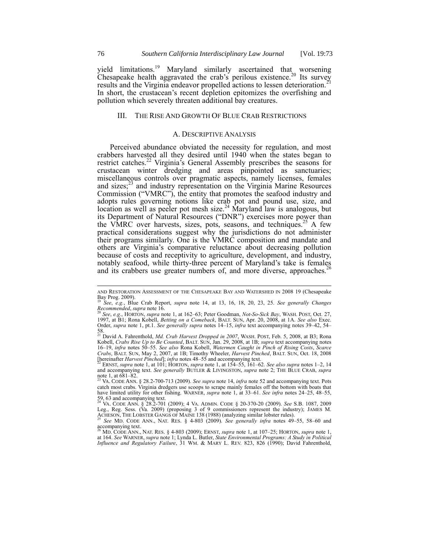yield limitations.<sup>19</sup> Maryland similarly ascertained that worsening Chesapeake health aggravated the crab's perilous existence.<sup>20</sup> Its survey results and the Virginia endeavor propelled actions to lessen deterioration.<sup>21</sup> In short, the crustacean's recent depletion epitomizes the overfishing and pollution which severely threaten additional bay creatures.

## III. THE RISE AND GROWTH OF BLUE CRAB RESTRICTIONS

#### A. DESCRIPTIVE ANALYSIS

Perceived abundance obviated the necessity for regulation, and most crabbers harvested all they desired until 1940 when the states began to restrict catches.<sup>22</sup> Virginia's General Assembly prescribes the seasons for crustacean winter dredging and areas pinpointed as sanctuaries; miscellaneous controls over pragmatic aspects, namely licenses, females and sizes; $^{23}$  and industry representation on the Virginia Marine Resources Commission ("VMRC"), the entity that promotes the seafood industry and adopts rules governing notions like crab pot and pound use, size, and location as well as peeler pot mesh size. $^{24}$  Maryland law is analogous, but its Department of Natural Resources ("DNR") exercises more power than the VMRC over harvests, sizes, pots, seasons, and techniques.<sup>25</sup> A few practical considerations suggest why the jurisdictions do not administer their programs similarly. One is the VMRC composition and mandate and others are Virginia's comparative reluctance about decreasing pollution because of costs and receptivity to agriculture, development, and industry, notably seafood, while thirty-three percent of Maryland's take is females and its crabbers use greater numbers of, and more diverse, approaches.<sup>2</sup>

AND RESTORATION ASSESSMENT OF THE CHESAPEAKE BAY AND WATERSHED IN 2008 19 (Chesapeake Bay Prog. 2009). <sup>19</sup> *See*, *e.g.*, Blue Crab Report, *supra* note 14, at 13, 16, 18, 20, 23, 25. *See generally Changes* 

*Recommended*, *supra* note 16.

<sup>20</sup> *See*, *e.g.*, HORTON, *supra* note 1, at 162–63; Peter Goodman, *Not-So-Sick Bay*, WASH. POST, Oct. 27, 1997, at B1; Rona Kobell, *Betting on a Comeback*, BALT. SUN, Apr. 20, 2008, at 1A. *See also* Exec. Order, *supra* note 1, pt.1. *See generally supra* notes 14–15, *infra* text accompanying notes 39–42, 54– 58. <sup>21</sup> David A. Fahrenthold, *Md. Crab Harvest Dropped in 2007*, WASH. POST, Feb. 5, 2008, at B3; Rona

Kobell, Crabs Rise Up to Be Counted, BALT. SUN, Jan. 29, 2008, at 1B; supra text accompanying notes 16–19, infra notes 50–55. See also Rona Kobell, Watermen Caught in Pinch of Rising Costs, Scarce *Crabs*, BALT. SUN, May 2, 2007, at 1B; Timothy Wheeler, *Harvest Pinched*, BALT. SUN, Oct. 18, 2008 [hereinafter *Harvest Pinched*]; *infra* notes 48–55 and accompanying text. <sup>22</sup> ERNST, *supra* note 1, at 101; HORTON, *supra* note 1, at 154–55, 161–62. *See also supra* notes 1–2, 14

and accompanying text. *See generally* BUTLER & LIVINGSTON, *supra* note 2; THE BLUE CRAB, *supra* note 1, at  $681-82$ .

<sup>23</sup> VA. CODE ANN. § 28.2-700-713 (2009). *See supra* note 14, *infra* note 52 and accompanying text. Pots catch most crabs. Virginia dredgers use scoops to scrape mainly females off the bottom with boats that have limited utility for other fishing. WARNER, *supra* note 1, at 33–61. *See infra* notes 24–25, 48–55,

<sup>59, 63</sup> and accompanying text.<br><sup>24</sup> VA. CODE ANN. § 28.2-701 (2009); 4 VA. ADMIN. CODE § 20-370-20 (2009). *See* S.B. 1087, 2009<br>Leg., Reg. Sess. (Va. 2009) (proposing 3 of 9 commissioners represent the industry); JAMES M.<br>

<sup>25</sup> *See* MD. CODE ANN., NAT. RES. § 4-803 (2009). *See generally infra* notes 49–55, 58–60 and

accompanying text. <sup>26</sup> MD. CODE ANN., NAT. RES. § 4-803 (2009); ERNST, *supra* note 1, at 107–25; HORTON, *supra* note 1, at 164. *See* WARNER, *supra* note 1; Lynda L. Butler, *State Environmental Programs: A Study in Political Influence and Regulatory Failure*, 31 WM. & MARY L. REV. 823, 826 (1990); David Fahrenthold,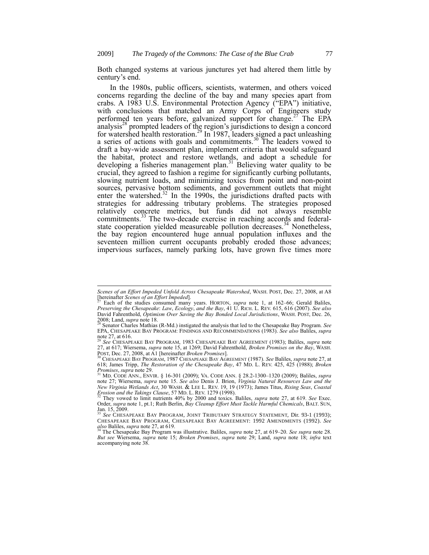Both changed systems at various junctures yet had altered them little by century's end.

In the 1980s, public officers, scientists, watermen, and others voiced concerns regarding the decline of the bay and many species apart from crabs. A 1983 U.S. Environmental Protection Agency ("EPA") initiative, with conclusions that matched an Army Corps of Engineers study performed ten years before, galvanized support for change.<sup>27</sup> The EPA analysis<sup>28</sup> prompted leaders of the region's jurisdictions to design a concord for watershed health restoration.<sup>29</sup> In 1987, leaders signed a pact unleashing a series of actions with goals and commitments.<sup>30</sup> The leaders vowed to draft a bay-wide assessment plan, implement criteria that would safeguard the habitat, protect and restore wetlands, and adopt a schedule for developing a fisheries management plan.<sup>31</sup> Believing water quality to be crucial, they agreed to fashion a regime for significantly curbing pollutants, slowing nutrient loads, and minimizing toxics from point and non-point sources, pervasive bottom sediments, and government outlets that might enter the watershed. $32$  In the 1990s, the jurisdictions drafted pacts with strategies for addressing tributary problems. The strategies proposed relatively concrete metrics, but funds did not always resemble commitments.<sup>33</sup> The two-decade exercise in reaching accords and federalstate cooperation yielded measureable pollution decreases.<sup>34</sup> Nonetheless, the bay region encountered huge annual population influxes and the seventeen million current occupants probably eroded those advances; impervious surfaces, namely parking lots, have grown five times more

*Scenes of an Effort Impeded Unfold Across Chesapeake Watershed*, WASH. POST, Dec. 27, 2008, at A8 [hereinafter *Scenes of an Effort Impeded*].

<sup>27</sup> Each of the studies consumed many years. HORTON, *supra* note 1, at 162–66; Gerald Baliles, Preserving the Chesapeake: Law, Ecology, and the Bay, 41 U. RICH. L. REV. 615, 616 (2007). See also<br>David Fahrenthold, *Optimism Over Saving the Bay Bonded Local Jurisdictions*, WASH. POST, Dec. 26, 2008; Land, *supra* note 18.

<sup>28</sup> Senator Charles Mathias (R-Md.) instigated the analysis that led to the Chesapeake Bay Program. *See* EPA, CHESAPEAKE BAY PROGRAM: FINDINGS AND RECOMMENDATIONS (1983). *See also* Baliles, *supra* note 27, at 616.

<sup>29</sup> *See* CHESAPEAKE BAY PROGRAM, 1983 CHESAPEAKE BAY AGREEMENT (1983); Baliles, *supra* note 27, at 617; Wiersema, *supra* note 15, at 1269; David Fahrenthold, *Broken Promises on the Bay*, WASH.  $P$ , w. 227, 1000 start at A1 [hereinafter *Broken Promises*].<br>POST, Dec. 27, 2008, at A1 [hereinafter *Broken Promises*].

<sup>30</sup> CHESAPEAKE BAY PROGRAM, 1987 CHESAPEAKE BAY AGREEMENT (1987). *See* Baliles, *supra* note 27, at 618; James Tripp, *The Restoration of the Chesapeake Bay*, 47 MD. L. REV. 425, 425 (1988); *Broken* 

Promises, supra note 29.<br><sup>31</sup> MD. CODE ANN., ENVIR. § 16-301 (2009); VA. CODE ANN. § 28.2-1300–1320 (2009); Baliles, supra<br>note 27; Wiersema, *supra* note 15. *See also* Denis J. Brion, *Virginia Natural Resources Law and New Virginia Wetlands Act*, 30 WASH. & LEE L. REV. 19, 19 (1973); James Titus, *Rising Seas*, *Coastal Erosion and the Takings Clause*, 57 MD. L. REV. 1279 (1998). <sup>32</sup> They vowed to limit nutrients 40% by 2000 and toxics. Baliles, *supra* note 27, at 619. *See* Exec.

Order, *supra* note 1, pt.1; Ruth Berlin, *Bay Cleanup Effort Must Tackle Harmful Chemicals*, BALT. SUN, Jan.  $15, 2009$ .

<sup>33</sup> *See* CHESAPEAKE BAY PROGRAM, JOINT TRIBUTARY STRATEGY STATEMENT, Dir. 93-1 (1993); CHESAPEAKE BAY PROGRAM, CHESAPEAKE BAY AGREEMENT: 1992 AMENDMENTS (1992). *See* 

*also* Baliles, *supra* note 27, at 619. <sup>34</sup> The Chesapeake Bay Program was illustrative. Baliles, *supra* note 27, at 619–20. *See supra* note 28. *But see* Wiersema, *supra* note 15; *Broken Promises*, *supra* note 29; Land, *supra* note 18; *infra* text accompanying note 38.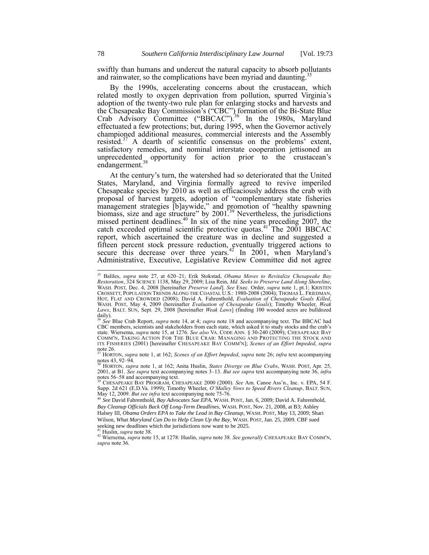swiftly than humans and undercut the natural capacity to absorb pollutants and rainwater, so the complications have been myriad and daunting.

By the 1990s, accelerating concerns about the crustacean, which related mostly to oxygen deprivation from pollution, spurred Virginia's adoption of the twenty-two rule plan for enlarging stocks and harvests and the Chesapeake Bay Commission's ("CBC") formation of the Bi-State Blue Crab Advisory Committee ("BBCAC").<sup>36</sup> In the 1980s, Maryland effectuated a few protections; but, during 1995, when the Governor actively championed additional measures, commercial interests and the Assembly resisted.<sup>37</sup> A dearth of scientific consensus on the problems' extent, satisfactory remedies, and nominal interstate cooperation jettisoned an unprecedented opportunity for action prior to the crustacean's endangerment.<sup>38</sup>

At the century's turn, the watershed had so deteriorated that the United States, Maryland, and Virginia formally agreed to revive imperiled Chesapeake species by 2010 as well as efficaciously address the crab with proposal of harvest targets, adoption of "complementary state fisheries management strategies [b]aywide," and promotion of "healthy spawning biomass, size and age structure" by  $2001^{39}$  Nevertheless, the jurisdictions missed pertinent deadlines.<sup>40</sup> In six of the nine years preceding 2007, the catch exceeded optimal scientific protective quotas.<sup>41</sup> The 2001 BBCAC report, which ascertained the creature was in decline and suggested a fifteen percent stock pressure reduction, eventually triggered actions to secure this decrease over three years.<sup>42</sup> In 2001, when Maryland's Administrative, Executive, Legislative Review Committee did not agree

<sup>35</sup> Baliles, *supra* note 27, at 620–21; Erik Stokstad, *Obama Moves to Revitalize Chesapeake Bay*  Restoration, 324 SCIENCE 1138, May 29, 2009; Lisa Rein, *Md. Seeks to Preserve Land Along Shoreline,*<br>WASH. POST, Dec. 4, 2008 [hereinafter *Preserve Land*]. See Exec. Order, supra note 1, pt.1; KRISTEN CROSSETT, POPULATION TRENDS ALONG THE COASTAL U.S.: 1980-2008 (2004); THOMAS L. FRIEDMAN, HOT, FLAT AND CROWDED (2008); David A. Fahrenthold, *Evaluation of Chesapeake Goals Killed*, WASH. POST, May 4, 2009 (hereinafter *Evaluation of Chesapeake Goals*); Timothy Wheeler, *Weak Laws*, BALT. SUN, Sept. 29, 2008 [hereinafter *Weak Laws*] (finding 100 wooded acres are bulldozed  $\frac{day}{6}$ .

<sup>36</sup> *See* Blue Crab Report, *supra* note 14, at 4; *supra* note 18 and accompanying text. The BBCAC had CBC members, scientists and stakeholders from each state, which asked it to study stocks and the crab's state. Wiersema, *supra* note 15, at 1276. *See also* VA. CODE ANN. § 30-240 (2009); CHESAPEAKE BAY COMM'N, TAKING ACTION FOR THE BLUE CRAB: MANAGING AND PROTECTING THE STOCK AND ITS FISHERIES (2001) [hereinafter CHESAPEAKE BAY COMM'N]; *Scenes of an Effort Impeded*, *supra*  note  $26.$ 

<sup>37</sup> HORTON, *supra* note 1, at 162; *Scenes of an Effort Impeded*, *supra* note 26; *infra* text accompanying notes 43, 92–94. <sup>38</sup> HORTON, *supra* note 1, at 162; Anita Huslin, *States Diverge on Blue Crabs*, WASH. POST, Apr. 25,

<sup>2001,</sup> at B1. *See supra* text accompanying notes 3–13. *But see supra* text accompanying note 36, *infra*  notes 56–58 and accompanying text. <sup>39</sup> CHESAPEAKE BAY PROGRAM, CHESAPEAKE 2000 (2000). *See* Am. Canoe Ass'n., Inc. v. EPA, 54 F.

Supp. 2d 621 (E.D.Va. 1999); Timothy Wheeler, *O'Malley Vows to Speed Rivers Cleanup*, BALT. SUN, May 12, 2009. *But see infra* text accompanying note 75-76.

<sup>40</sup> *See* David Fahrenthold, *Bay Advocates Sue EPA*, WASH. POST, Jan. 6, 2009; David A. Fahrenthold, *Bay Cleanup Officials Back Off Long-Term Deadlines*, WASH. POST, Nov. 21, 2008, at B3; Ashley

Halsey III, *Obama Orders EPA to Take the Lead in Bay Cleanup*, WASH. POST, May 13, 2009; Shari Wilson, *What Maryland Can Do to Help Clean Up the Bay*, WASH. POST, Jan. 25, 2009. CBF sued seeking new deadlines which the jurisdictions now want to be 2025. <sup>41</sup> Huslin, *supra* note 38.

<sup>42</sup> Wiersema, *supra* note 15, at 1278: Huslin, *supra* note 38. *See generally* CHESAPEAKE BAY COMM'N, *supra* note 36.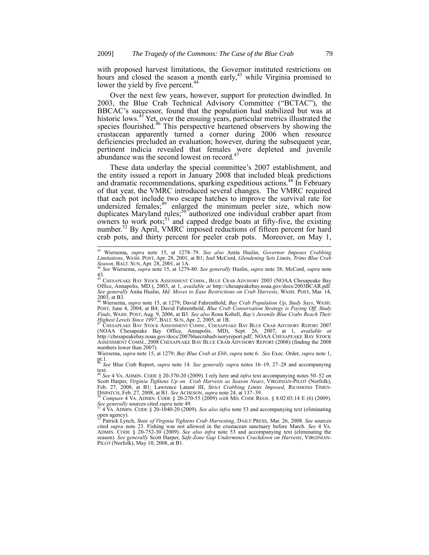with proposed harvest limitations, the Governor instituted restrictions on hours and closed the season a month early,<sup>43</sup> while Virginia promised to lower the yield by five percent.<sup>44</sup>

Over the next few years, however, support for protection dwindled. In 2003, the Blue Crab Technical Advisory Committee ("BCTAC"), the BBCAC's successor, found that the population had stabilized but was at historic lows.<sup>45</sup> Yet, over the ensuing years, particular metrics illustrated the species flourished.<sup>46</sup> This perspective heartened observers by showing the crustacean apparently turned a corner during 2006 when resource deficiencies precluded an evaluation; however, during the subsequent year, pertinent indicia revealed that females were depleted and juvenile abundance was the second lowest on record.<sup>4</sup>

These data underlay the special committee's 2007 establishment, and the entity issued a report in January 2008 that included bleak predictions and dramatic recommendations, sparking expeditious actions.<sup>48</sup> In February of that year, the VMRC introduced several changes. The VMRC required that each pot include two escape hatches to improve the survival rate for undersized females;<sup>49</sup> enlarged the minimum peeler size, which now duplicates Maryland rules;<sup>50</sup> authorized one individual crabber apart from owners to work pots; $51$  and capped dredge boats at fifty-five, the existing number.<sup>52</sup> By April, VMRC imposed reductions of fifteen percent for hard crab pots, and thirty percent for peeler crab pots. Moreover, on May 1,

<sup>&</sup>lt;sup>43</sup> Wiersema, *supra* note 15, at 1278–79. *See also* Anita Huslin, *Governor Imposes Crabbing Limitations*, WASH. POST, Apr. 28, 2001, at B1; Joel McCord, *Glendening Sets Limits*, *Trims Blue Crab Season*, BALT. SUN,

<sup>43.</sup> <sup>45</sup> CHESAPEAKE BAY STOCK ASSESSMENT COMM., BLUE CRAB ADVISORY 2003 (NOAA Chesapeake Bay

Office, Annapolis, MD.), 2003, at 1, *available at* http://chesapeakebay.noaa.gov/docs/2003BCAR.pdf. *See generally* Anita Huslin, *Md. Moves to Ease Restrictions on Crab Harvests*, WASH. POST, Mar. 14, 2003, at B3. <sup>46</sup> Wiersema, *supra* note 15, at 1279; David Fahrenthold, *Bay Crab Population Up*, *Study Says*, WASH.

POST, June 4, 2004, at B4; David Fahrenthold, *Blue Crab Conservation Strategy is Paying Off, Study*<br>Finds, WASH. POST, Aug. 9, 2006, at B3. See also Rona Kobell, *Bay's Juvenile Blue Crabs Reach Their Highest Levels Since 1997*, BALT. SUN, Apr. 2, 2005, at 1B.

<sup>47</sup> CHESAPEAKE BAY STOCK ASSESSMENT COMM., CHESAPEAKE BAY BLUE CRAB ADVISORY REPORT 2007 (NOAA Chesapeake Bay Office, Annapolis, MD), Sept. 26, 2007, at 1, *available at* http://chesapeakebay.noaa.gov/docs/2007bluecrabadvisoryreport.pdf; NOAA CHESAPEAKE BAY STOCK ASSESSMENT COMM., 2008 CHESAPEAKE BAY BLUE CRAB ADVISORY REPORT (2008) (finding the 2008 numbers lower than 2007).

Wiersema, *supra* note 15, at 1279; *Bay Blue Crab at Ebb*, *supra* note 6. *See* Exec. Order, *supra* note 1, pt.1*.* <sup>48</sup> *See* Blue Crab Report, *supra* note 14. *See generally supra* notes 16–19, 27–28 and accompanying

text. <sup>49</sup> *See* 4 VA. ADMIN. CODE § 20-370-20 (2009). I rely here and *infra* text accompanying notes 50–52 on

Scott Harper, *Virginia Tightens Up on Crab Harvests as Season Nears*, VIRGINIAN-PILOT (Norfolk), Feb. 27, 2008, at B1; Lawrence Latané III, *Strict Crabbing Limits Imposed,* RICHMOND TIMES-DISPATCH, Feb. 27, 2008, at B1. *See* ACHESON, *supra* note 24, at 137–39. <sup>50</sup> *Compare* 4 VA. ADMIN. CODE § 20-270-55 (2009) *with* MD. CODE REGS. § 8.02.03.14 E (6) (2009).

*See generally* sources cited *supra* note 49. <sup>51</sup> 4 VA. ADMIN. CODE § 20-1040-20 (2009). *See also infra* note 53 and accompanying text (eliminating

open agency). <sup>52</sup> Patrick Lynch, *State of Virginia Tightens Crab Harvesting*, DAILY PRESS, Mar. 26, 2008. *See* sources cited *supra* note 23. Fishing was not allowed in the crustacean sanctuary before March. *See* 4 VA. ADMIN. CODE § 20-752-30 (2009). *See also infra* note 53 and accompanying text (eliminating the season). *See generally* Scott Harper, *Safe-Zone Gap Undermines Crackdown on Harvests*, VIRGINIAN-PILOT (Norfolk), May 10, 2008, at B1.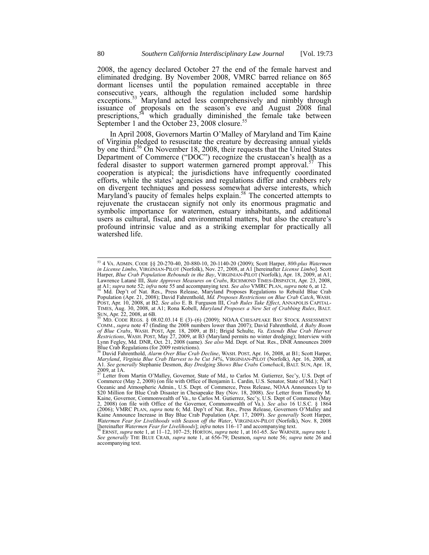2008, the agency declared October 27 the end of the female harvest and eliminated dredging. By November 2008, VMRC barred reliance on 865 dormant licenses until the population remained acceptable in three consecutive years, although the regulation included some hardship exceptions.<sup>53</sup> Maryland acted less comprehensively and nimbly through issuance of proposals on the season's eve and August 2008 final prescriptions,  $54$  which gradually diminished the female take between September 1 and the October 23, 2008 closure.<sup>5</sup>

In April 2008, Governors Martin O'Malley of Maryland and Tim Kaine of Virginia pledged to resuscitate the creature by decreasing annual yields by one third.<sup>56</sup> On November 18, 2008, their requests that the United States Department of Commerce ("DOC") recognize the crustacean's health as a federal disaster to support watermen garnered prompt approval.<sup>57</sup> This cooperation is atypical; the jurisdictions have infrequently coordinated efforts, while the states' agencies and regulations differ and crabbers rely on divergent techniques and possess somewhat adverse interests, which Maryland's paucity of females helps explain.<sup>58</sup> The concerted attempts to rejuvenate the crustacean signify not only its enormous pragmatic and symbolic importance for watermen, estuary inhabitants, and additional users as cultural, fiscal, and environmental matters, but also the creature's profound intrinsic value and as a striking exemplar for practically all watershed life.

<sup>53</sup> 4 VA. ADMIN. CODE §§ 20-270-40, 20-880-10, 20-1140-20 (2009); Scott Harper, *800-plus Watermen in License Limbo*, VIRGINIAN-PILOT (Norfolk), Nov. 27, 2008, at A1 [hereinafter *License Limbo*]. Scott Harper, *Blue Crab Population Rebounds in the Bay*, VIRGINIAN-PILOT (Norfolk), Apr. 18, 2009, at A1; Lawrence Latané III, *State Approves Measures on Crabs*, RICHMOND TIMES-DISPATCH, Apr. 23, 2008, at A1; *supra* note 52; *infra* note 55 and accompanying text. *See also* VMRC PLAN, *supra* note 6, at 12. <sup>54</sup> Md. Dep't of Nat. Res., Press Release, Maryland Proposes Regulations to Rebuild Blue Crab Population (Apr. 21, 2008); David Fahrenthold, *Md. Proposes Restrictions on Blue Crab Catch*, WASH. POST, Apr. 10, 2008, at B2. *See also* E. B. Furguson III, *Crab Rules Take Effect*, ANNAPOLIS CAPITAL-TIMES, Aug. 30, 2008, at A1; Rona Kobell, *Maryland Proposes a New Set of Crabbing Rules*, BALT. SUN, Apr. 22, 2008, at 6B.

<sup>55</sup> MD. CODE REGS. § 08.02.03.14 E (3)–(6) (2009); NOAA CHESAPEAKE BAY STOCK ASSESSMENT COMM., *supra* note 47 (finding the 2008 numbers lower than 2007); David Fahrenthold, *A Baby Boom of Blue Crabs*, WASH. POST, Apr. 18, 2009, at B1; Brigid Schulte, *Va. Extends Blue Crab Harvest Restrictions*, WASH. POST, May 27, 2009, at B3 (Maryland permits no winter dredging); Interview with Lynn Fegley, Md. DNR, Oct. 21, 2008 (same). *See also* Md. Dept. of Nat. Res., DNR Announces 2009 Blue Crab Regulations (for 2009 restrictions).

<sup>56</sup> David Fahrenthold, *Alarm Over Blue Crab Decline*, WASH. POST, Apr. 16, 2008, at B1; Scott Harper, *Maryland*, *Virginia Blue Crab Harvest to be Cut 34%*, VIRGINIAN-PILOT (Norfolk), Apr. 16, 2008, at A1. *See generally* Stephanie Desmon, *Bay Dredging Shows Blue Crabs Comeback*, BALT. SUN, Apr. 18,  $2009$ , at 1A.

Letter from Martin O'Malley, Governor, State of Md., to Carlos M. Gutierrez, Sec'y, U.S. Dept of Commerce (May 2, 2008) (on file with Office of Benjamin L. Cardin, U.S. Senator, State of Md.); Nat'l Oceanic and Atmospheric Admin., U.S. Dept. of Commerce, Press Release, NOAA Announces Up to \$20 Million for Blue Crab Disaster in Chesapeake Bay (Nov. 18, 2008). *See* Letter from Timothy M. Kaine, Governor, Commonwealth of Va., to Carlos M. Gutierrez, Sec'y, U.S. Dept of Commerce (May 2, 2008) (on file with Office of the Governor, Commonwealth of Va.). *See also* 16 U.S.C. § 1864 (2006); VMRC PLAN, *supra* note 6; Md. Dep't of Nat. Res., Press Release, Governors O'Malley and Kaine Announce Increase in Bay Blue Crab Population (Apr. 17, 2009). *See generally* Scott Harper, Watermen Fear for Livelihoods with Season off the Water, VIRGINIAN-PILOT (Norfolk), Nov. 8, 2008<br>[hereinafter Watermen Fear for Livelihoods]; infra notes 116–17 and accompanying text.<br><sup>58</sup> ERNST, *supra* note 1, at 11–12,

*See generally* THE BLUE CRAB, *supra* note 1, at 656-79; Desmon, *supra* note 56; *supra* note 26 and accompanying text.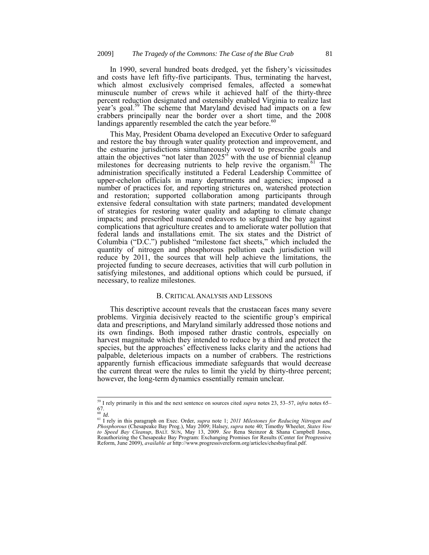In 1990, several hundred boats dredged, yet the fishery's vicissitudes and costs have left fifty-five participants. Thus, terminating the harvest, which almost exclusively comprised females, affected a somewhat minuscule number of crews while it achieved half of the thirty-three percent reduction designated and ostensibly enabled Virginia to realize last year's goal.<sup>59</sup> The scheme that Maryland devised had impacts on a few crabbers principally near the border over a short time, and the 2008 landings apparently resembled the catch the year before.<sup>60</sup>

This May, President Obama developed an Executive Order to safeguard and restore the bay through water quality protection and improvement, and the estuarine jurisdictions simultaneously vowed to prescribe goals and attain the objectives "not later than 2025" with the use of biennial cleanup milestones for decreasing nutrients to help revive the organism.<sup>61</sup> The administration specifically instituted a Federal Leadership Committee of upper-echelon officials in many departments and agencies; imposed a number of practices for, and reporting strictures on, watershed protection and restoration; supported collaboration among participants through extensive federal consultation with state partners; mandated development of strategies for restoring water quality and adapting to climate change impacts; and prescribed nuanced endeavors to safeguard the bay against complications that agriculture creates and to ameliorate water pollution that federal lands and installations emit. The six states and the District of Columbia ("D.C.") published "milestone fact sheets," which included the quantity of nitrogen and phosphorous pollution each jurisdiction will reduce by 2011, the sources that will help achieve the limitations, the projected funding to secure decreases, activities that will curb pollution in satisfying milestones, and additional options which could be pursued, if necessary, to realize milestones.

## B. CRITICAL ANALYSIS AND LESSONS

This descriptive account reveals that the crustacean faces many severe problems. Virginia decisively reacted to the scientific group's empirical data and prescriptions, and Maryland similarly addressed those notions and its own findings. Both imposed rather drastic controls, especially on harvest magnitude which they intended to reduce by a third and protect the species, but the approaches' effectiveness lacks clarity and the actions had palpable, deleterious impacts on a number of crabbers. The restrictions apparently furnish efficacious immediate safeguards that would decrease the current threat were the rules to limit the yield by thirty-three percent; however, the long-term dynamics essentially remain unclear.

<sup>59</sup> I rely primarily in this and the next sentence on sources cited *supra* notes 23, 53–57, *infra* notes 65– 67.

<sup>60</sup> *Id*.

<sup>61</sup> I rely in this paragraph on Exec. Order, *supra* note 1; *2011 Milestones for Reducing Nitrogen and Phosphorous* (Chesapeake Bay Prog.), May 2009; Halsey, *supra* note 40; Timothy Wheeler, *States Vow*<br>to *Speed Bay Cleanup*, BALT. SUN, May 13, 2009. See Rena Steinzor & Shana Campbell Jones, Reauthorizing the Chesapeake Bay Program: Exchanging Promises for Results (Center for Progressive Reform, June 2009), *available at* http://www.progressivereform.org/articles/chesbayfinal.pdf.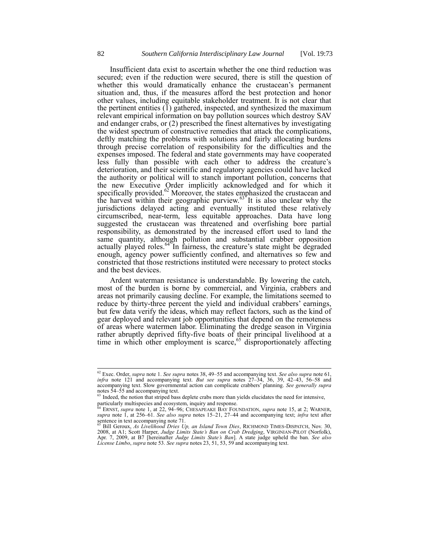Insufficient data exist to ascertain whether the one third reduction was secured; even if the reduction were secured, there is still the question of whether this would dramatically enhance the crustacean's permanent situation and, thus, if the measures afford the best protection and honor other values, including equitable stakeholder treatment. It is not clear that the pertinent entities  $(\overline{1})$  gathered, inspected, and synthesized the maximum relevant empirical information on bay pollution sources which destroy SAV and endanger crabs, or (2) prescribed the finest alternatives by investigating the widest spectrum of constructive remedies that attack the complications, deftly matching the problems with solutions and fairly allocating burdens through precise correlation of responsibility for the difficulties and the expenses imposed. The federal and state governments may have cooperated less fully than possible with each other to address the creature's deterioration, and their scientific and regulatory agencies could have lacked the authority or political will to stanch important pollution, concerns that the new Executive Order implicitly acknowledged and for which it specifically provided.<sup>62</sup> Moreover, the states emphasized the crustacean and the harvest within their geographic purview. $63<sup>2</sup>$  It is also unclear why the jurisdictions delayed acting and eventually instituted these relatively circumscribed, near-term, less equitable approaches. Data have long suggested the crustacean was threatened and overfishing bore partial responsibility, as demonstrated by the increased effort used to land the same quantity, although pollution and substantial crabber opposition actually played roles.<sup>64 $\overline{ }$ In fairness, the creature's state might be degraded</sup> enough, agency power sufficiently confined, and alternatives so few and constricted that those restrictions instituted were necessary to protect stocks and the best devices.

Ardent waterman resistance is understandable. By lowering the catch, most of the burden is borne by commercial, and Virginia, crabbers and areas not primarily causing decline. For example, the limitations seemed to reduce by thirty-three percent the yield and individual crabbers' earnings, but few data verify the ideas, which may reflect factors, such as the kind of gear deployed and relevant job opportunities that depend on the remoteness of areas where watermen labor. Eliminating the dredge season in Virginia rather abruptly deprived fifty-five boats of their principal livelihood at a time in which other employment is scarce,<sup>65</sup> disproportionately affecting

<sup>62</sup> Exec. Order, *supra* note 1. *See supra* notes 38, 49–55 and accompanying text. *See also supra* note 61, *infra* note 121 and accompanying text. *But see supra* notes 27–34, 36, 39, 42–43, 56–58 and accompanying text. Slow governmental action can complicate crabbers' planning. *See generally supra* notes 54–55 and accompanying text.

<sup>&</sup>lt;sup>63</sup> Indeed, the notion that striped bass deplete crabs more than yields elucidates the need for intensive,

particularly multispecies and ecosystem, inquiry and response.<br><sup>64</sup> ERNST, *supra* note 1, at 22, 94–96; CHESAPEAKE BAY FOUNDATION, *supra* note 15, at 2; WARNER, *supra* note 1, at 256–61. *See also supra* notes 15–21, 27 sentence in text accompanying note  $71$ .

<sup>&</sup>lt;sup>65</sup> Bill Geroux, As Livelihood Dries Up, an Island Town Dies, RICHMOND TIMES-DISPATCH, Nov. 30,<br>2008, at A1; Scott Harper, Judge Limits State's Ban on Crab Dredging, VIRGINIAN-PILOT (Norfolk), Apr. 7, 2009, at B7 [hereinafter *Judge Limits State's Ban*]. A state judge upheld the ban. *See also License Limbo*, *supra* note 53. *See supra* notes 23, 51, 53, 59 and accompanying text.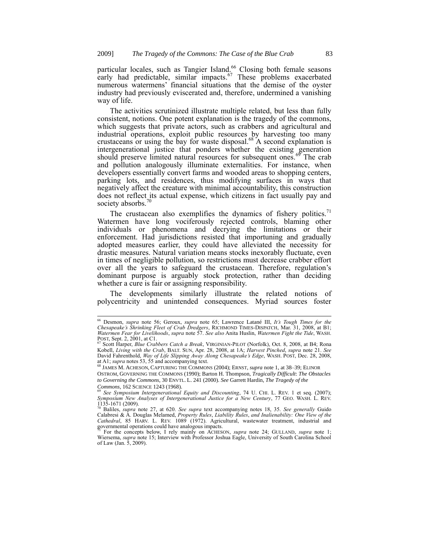particular locales, such as Tangier Island.<sup>66</sup> Closing both female seasons early had predictable, similar impacts.<sup>67</sup> These problems exacerbated numerous watermens' financial situations that the demise of the oyster industry had previously eviscerated and, therefore, undermined a vanishing way of life.

The activities scrutinized illustrate multiple related, but less than fully consistent, notions. One potent explanation is the tragedy of the commons, which suggests that private actors, such as crabbers and agricultural and industrial operations, exploit public resources by harvesting too many crustaceans or using the bay for waste disposal. <sup>68</sup> A second explanation is intergenerational justice that ponders whether the existing generation should preserve limited natural resources for subsequent ones.<sup>69</sup> The crab and pollution analogously illuminate externalities. For instance, when developers essentially convert farms and wooded areas to shopping centers, parking lots, and residences, thus modifying surfaces in ways that negatively affect the creature with minimal accountability, this construction does not reflect its actual expense, which citizens in fact usually pay and society absorbs.<sup>70</sup>

The crustacean also exemplifies the dynamics of fishery politics.<sup>71</sup> Watermen have long vociferously rejected controls, blaming other individuals or phenomena and decrying the limitations or their enforcement. Had jurisdictions resisted that importuning and gradually adopted measures earlier, they could have alleviated the necessity for drastic measures. Natural variation means stocks inexorably fluctuate, even in times of negligible pollution, so restrictions must decrease crabber effort over all the years to safeguard the crustacean. Therefore, regulation's dominant purpose is arguably stock protection, rather than deciding whether a cure is fair or assigning responsibility.

The developments similarly illustrate the related notions of polycentricity and unintended consequences. Myriad sources foster

*Commons*, 162 SCIENCE 1243 (1968).

 $\overline{\phantom{a}}$ 

<sup>66</sup> Desmon, *supra* note 56; Geroux, *supra* note 65; Lawrence Latané III, *It's Tough Times for the Chesapeake's Shrinking Fleet of Crab Dredgers*, RICHMOND TIMES-DISPATCH, Mar. 31, 2008, at B1; *Watermen Fear for Livelihoods*, *supra* note 57. *See also* Anita Huslin, *Watermen Fight the Tide*, WASH. POST, Sept. 2, 2001, at C1.

<sup>67</sup> Scott Harper, *Blue Crabbers Catch a Break*, VIRGINIAN-PILOT (Norfolk), Oct. 8, 2008, at B4; Rona Kobell, *Living with the Crab*, BALT. SUN, Apr. 28, 2008, at 1A; *Harvest Pinched*, *supra* note 21. *See* David Fahrenthold, *Way of Life Slipping Away Along Chesapeake's Edge*, WASH. POST, Dec. 28, 2008,

at A1; *supra* notes 53, 55 and accompanying text. <sup>68</sup> JAMES M. ACHESON, CAPTURING THE COMMONS (2004); ERNST, *supra* note 1, at 38–39; ELINOR

OSTROM, GOVERNING THE COMMONS (1990); Barton H. Thompson, *Tragically Difficult*: *The Obstacles to Governing the Commons*, 30 ENVTL. L. 241 (2000). *See* Garrett Hardin, *The Tragedy of the* 

<sup>&</sup>lt;sup>69</sup> See Symposium Intergenerational Equity and Discounting, 74 U. CHI. L. REV. 1 et seq. (2007);<br>Symposium New Analyses of Intergenerational Justice for a New Century, 77 GEO. WASH. L. REV.  $\frac{1135-1671}{2009}$ .

<sup>&</sup>lt;sup>70</sup> Baliles, *supra* note 27, at 620. *See supra* text accompanying notes 18, 35. *See generally* Guido Calabresi & A. Douglas Melamed, *Property Rules, Liability Rules, and Inalienability: One View of the Cathedral*, 85 HARV. L. REV. 1089 (1972). Agricultural, wastewater treatment, industrial and governmental operations could have analogous impacts.

<sup>71</sup> For the concepts below, I rely mainly on ACHESON, *supra* note 24; GULLAND, *supra* note 1; Wiersema, *supra* note 15; Interview with Professor Joshua Eagle, University of South Carolina School of Law (Jan. 5, 2009).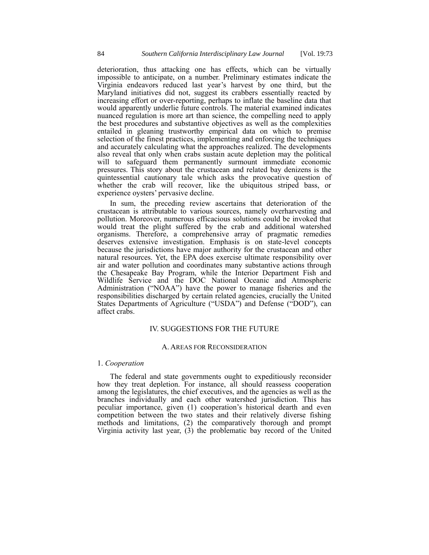deterioration, thus attacking one has effects, which can be virtually impossible to anticipate, on a number. Preliminary estimates indicate the Virginia endeavors reduced last year's harvest by one third, but the Maryland initiatives did not, suggest its crabbers essentially reacted by increasing effort or over-reporting, perhaps to inflate the baseline data that would apparently underlie future controls. The material examined indicates nuanced regulation is more art than science, the compelling need to apply the best procedures and substantive objectives as well as the complexities entailed in gleaning trustworthy empirical data on which to premise selection of the finest practices, implementing and enforcing the techniques and accurately calculating what the approaches realized. The developments also reveal that only when crabs sustain acute depletion may the political will to safeguard them permanently surmount immediate economic pressures. This story about the crustacean and related bay denizens is the quintessential cautionary tale which asks the provocative question of whether the crab will recover, like the ubiquitous striped bass, or experience oysters' pervasive decline.

In sum, the preceding review ascertains that deterioration of the crustacean is attributable to various sources, namely overharvesting and pollution. Moreover, numerous efficacious solutions could be invoked that would treat the plight suffered by the crab and additional watershed organisms. Therefore, a comprehensive array of pragmatic remedies deserves extensive investigation. Emphasis is on state-level concepts because the jurisdictions have major authority for the crustacean and other natural resources. Yet, the EPA does exercise ultimate responsibility over air and water pollution and coordinates many substantive actions through the Chesapeake Bay Program, while the Interior Department Fish and Wildlife Service and the DOC National Oceanic and Atmospheric Administration ("NOAA") have the power to manage fisheries and the responsibilities discharged by certain related agencies, crucially the United States Departments of Agriculture ("USDA") and Defense ("DOD"), can affect crabs.

## IV. SUGGESTIONS FOR THE FUTURE

#### A. AREAS FOR RECONSIDERATION

#### 1. *Cooperation*

The federal and state governments ought to expeditiously reconsider how they treat depletion. For instance, all should reassess cooperation among the legislatures, the chief executives, and the agencies as well as the branches individually and each other watershed jurisdiction. This has peculiar importance, given (1) cooperation's historical dearth and even competition between the two states and their relatively diverse fishing methods and limitations, (2) the comparatively thorough and prompt Virginia activity last year, (3) the problematic bay record of the United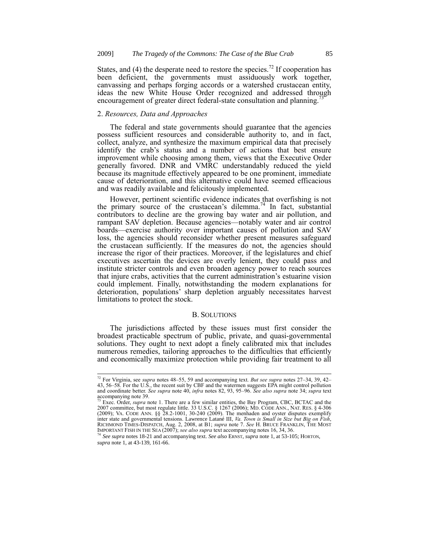States, and (4) the desperate need to restore the species.<sup>72</sup> If cooperation has been deficient, the governments must assiduously work together, canvassing and perhaps forging accords or a watershed crustacean entity, ideas the new White House Order recognized and addressed through encouragement of greater direct federal-state consultation and planning.<sup>7</sup>

## 2. *Resources, Data and Approaches*

-

The federal and state governments should guarantee that the agencies possess sufficient resources and considerable authority to, and in fact, collect, analyze, and synthesize the maximum empirical data that precisely identify the crab's status and a number of actions that best ensure improvement while choosing among them, views that the Executive Order generally favored. DNR and VMRC understandably reduced the yield because its magnitude effectively appeared to be one prominent, immediate cause of deterioration, and this alternative could have seemed efficacious and was readily available and felicitously implemented.

However, pertinent scientific evidence indicates that overfishing is not the primary source of the crustacean's dilemma.<sup>74</sup> In fact, substantial contributors to decline are the growing bay water and air pollution, and rampant SAV depletion. Because agencies—notably water and air control boards—exercise authority over important causes of pollution and SAV loss, the agencies should reconsider whether present measures safeguard the crustacean sufficiently. If the measures do not, the agencies should increase the rigor of their practices. Moreover, if the legislatures and chief executives ascertain the devices are overly lenient, they could pass and institute stricter controls and even broaden agency power to reach sources that injure crabs, activities that the current administration's estuarine vision could implement. Finally, notwithstanding the modern explanations for deterioration, populations<sup>3</sup> sharp depletion arguably necessitates harvest limitations to protect the stock.

#### B. SOLUTIONS

The jurisdictions affected by these issues must first consider the broadest practicable spectrum of public, private, and quasi-governmental solutions. They ought to next adopt a finely calibrated mix that includes numerous remedies, tailoring approaches to the difficulties that efficiently and economically maximize protection while providing fair treatment to all

<sup>72</sup> For Virginia, see *supra* notes 48–55, 59 and accompanying text. *But see supra* notes 27–34, 39, 42– 43, 56–58. For the U.S., the recent suit by CBF and the watermen suggests EPA might control pollution<br>and coordinate better. *See supra* note 40, *infra* notes 82, 93, 95–96. *See also supra* note 34; *supra* text  $\frac{1}{73}$  Even  $\frac{1}{29}$ .

<sup>&</sup>lt;sup>73</sup> Exec. Order, *supra* note 1. There are a few similar entities, the Bay Program, CBC, BCTAC and the 2007 committee, but most regulate little. 33 U.S.C. § 1267 (2006); MD. CODE ANN., NAT. RES. § 4-306 (2009); VA. CODE inter state and governmental tensions. Lawrence Latané III, *Va. Town is Small in Size but Big on Fish*, RICHMOND TIMES-DISPATCH, Aug. 2, 2008, at B1; *supra* note 7. *See* H. BRUCE FRANKLIN, THE MOST IMPORTANT FISH IN THE SEA (2007); *see also supra* text accompanying notes 16, 34, 36. <sup>74</sup> *See supra* notes 18-21 and accompanying text. *See also* ERNST, *supra* note 1, at 53-105; HORTON,

*supra* note 1, at 43-139, 161-66.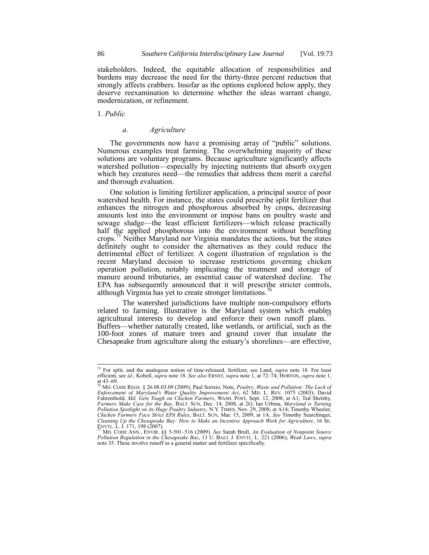stakeholders. Indeed, the equitable allocation of responsibilities and burdens may decrease the need for the thirty-three percent reduction that strongly affects crabbers. Insofar as the options explored below apply, they deserve reexamination to determine whether the ideas warrant change, modernization, or refinement.

1. *Public*

1

#### *a. Agriculture*

The governments now have a promising array of "public" solutions. Numerous examples treat farming. The overwhelming majority of these solutions are voluntary programs. Because agriculture significantly affects watershed pollution—especially by injecting nutrients that absorb oxygen which bay creatures need—the remedies that address them merit a careful and thorough evaluation.

One solution is limiting fertilizer application, a principal source of poor watershed health. For instance, the states could prescribe split fertilizer that enhances the nitrogen and phosphorous absorbed by crops, decreasing amounts lost into the environment or impose bans on poultry waste and sewage sludge—the least efficient fertilizers—which release practically half the applied phosphorous into the environment without benefiting crops.<sup>75</sup> Neither Maryland nor Virginia mandates the actions, but the states definitely ought to consider the alternatives as they could reduce the detrimental effect of fertilizer. A cogent illustration of regulation is the recent Maryland decision to increase restrictions governing chicken operation pollution, notably implicating the treatment and storage of manure around tributaries, an essential cause of watershed decline. The EPA has subsequently announced that it will prescribe stricter controls, although Virginia has yet to create stronger limitations.<sup>76</sup>

The watershed jurisdictions have multiple non-compulsory efforts related to farming. Illustrative is the Maryland system which enables agricultural interests to develop and enforce their own runoff plans. Buffers—whether naturally created, like wetlands, or artificial, such as the 100-foot zones of mature trees and ground cover that insulate the Chesapeake from agriculture along the estuary's shorelines—are effective,

<sup>75</sup> For split, and the analogous notion of time-released, fertilizer, see Land, *supra* note 18. For least efficient, see *id.*; Kobell, *supra* note 18. *See also* ERNST, *supra* note 1, at 72–74; HORTON, *supra* note 1,

at 43–69. <sup>76</sup> MD. CODE REGS. § 26.08.03.09 (2009); Paul Sorisio, Note, *Poultry*, *Waste and Pollution: The Lack of Enforcement of Maryland's Water Quality Improvement Act*, 62 MD. L. REV. 1075 (2003); David Fahrenthold, *Md. Gets Tough on Chicken Farmers*, WASH. POST, Sept. 12, 2008, at A1; Ted Shelsby, Farmers Make Case for the Bay, BALT. SUN, Dec. 14, 2008, at 2G; Ian Urbina, *Maryland is Turning Pollution Spotlight on its Huge Poultry Industry*, N.Y. TIMES, Nov. 29, 2008, at A14; Timothy Wheeler, *Chicken Farmers Face Cleaning Up the Chesapeake Bay: How to Make an Incentive Approach Work for Agriculture*, 16 SE.

ENVTL. L. J. 171, 198 (2007). <sup>77</sup> MD. CODE ANN., ENVIR. §§ 5-501–516 (2009). *See* Sarah Brull, *An Evaluation of Nonpoint Source Pollution Regulation in the Chesapeake Bay*, 13 U. BALT. J. ENVTL. L. 221 (2006); *Weak Laws*, *supra* note 35. These involve runoff as a general matter and fertilizer specifically.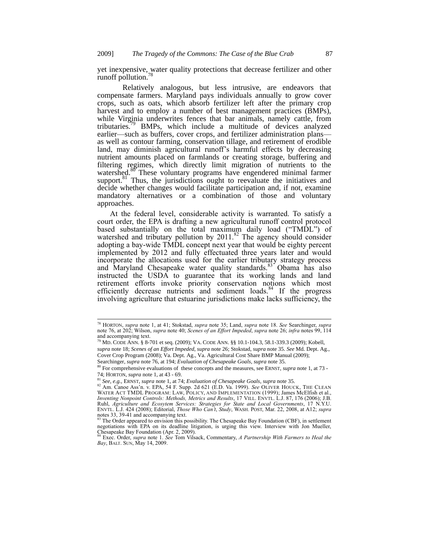yet inexpensive, water quality protections that decrease fertilizer and other runoff pollution.<sup>78</sup>

Relatively analogous, but less intrusive, are endeavors that compensate farmers. Maryland pays individuals annually to grow cover crops, such as oats, which absorb fertilizer left after the primary crop harvest and to employ a number of best management practices (BMPs), while Virginia underwrites fences that bar animals, namely cattle, from tributaries.<sup>79</sup> BMPs, which include a multitude of devices analyzed earlier—such as buffers, cover crops, and fertilizer administration plans as well as contour farming, conservation tillage, and retirement of erodible land, may diminish agricultural runoff's harmful effects by decreasing nutrient amounts placed on farmlands or creating storage, buffering and filtering regimes, which directly limit migration of nutrients to the watershed.<sup>80</sup> These voluntary programs have engendered minimal farmer support. $81$  Thus, the jurisdictions ought to reevaluate the initiatives and decide whether changes would facilitate participation and, if not, examine mandatory alternatives or a combination of those and voluntary approaches.

At the federal level, considerable activity is warranted. To satisfy a court order, the EPA is drafting a new agricultural runoff control protocol based substantially on the total maximum daily load ("TMDL") of watershed and tributary pollution by  $2011$ .<sup>82</sup> The agency should consider adopting a bay-wide TMDL concept next year that would be eighty percent implemented by 2012 and fully effectuated three years later and would incorporate the allocations used for the earlier tributary strategy process and Maryland Chesapeake water quality standards.<sup>83</sup> Obama has also instructed the USDA to guarantee that its working lands and land retirement efforts invoke priority conservation notions which most efficiently decrease nutrients and sediment loads.<sup>84</sup> If the progress involving agriculture that estuarine jurisdictions make lacks sufficiency, the

<sup>78</sup> HORTON, *supra* note 1, at 41; Stokstad, *supra* note 35; Land, *supra* note 18. *See* Searchinger, *supra*  note 76, at 202; Wilson, *supra* note 40; *Scenes of an Effort Impeded*, *supra* note 26; *infra* notes 99, 114 and accompanying text.

<sup>79</sup> MD. CODE ANN. § 8-701 et seq. (2009); VA. CODE ANN. §§ 10.1-104.3, 58.1-339.3 (2009); Kobell, *supra* note 18; *Scenes of an Effort Impeded*, *supra* note 26; Stokstad, *supra* note 35. *See* Md. Dept. Ag., Cover Crop Program (2008); Va. Dept. Ag., Va. Agricultural Cost Share BMP Manual (2009);

Searchinger, *supra* note 76, at 194; *Evaluation of Chesapeake Goals*, *supra* note 35.

<sup>80</sup> For comprehensive evaluations of these concepts and the measures, see ERNST, *supra* note 1, at 73 - 74; HORTON, *supra* note 1, at 43 - 69.

<sup>81</sup> *See*, *e.g.*, ERNST, *supra* note 1, at 74; *Evaluation of Chesapeake Goals*, *supra* note 35.

<sup>82</sup> Am. Canoe Ass'n. v. EPA, 54 F. Supp. 2d 621 (E.D. Va. 1999). *See* OLIVER HOUCK, THE CLEAN WATER ACT TMDL PROGRAM: LAW, POLICY, AND IMPLEMENTATION (1999); James McElfish et al., *Inventing Nonpoint Controls: Methods, Metrics and Results*, 17 VILL. ENVTL. L.J. 87, 176 (2006); J.B. Ruhl, *Agriculture and Ecosytem Services: Strategies for State and Local Governments*, 17 N.Y.U. ENVTL. L.J. 424 (2008); Editorial, *Those Who Can't*, *Study*, WASH. POST, Mar. 22, 2008, at A12; *supra* notes 33, 39-41 and accompanying text.<br><sup>83</sup> The Order appeared to envision this possibility. The Chesapeake Bay Foundation (CBF), in settlement

negotiations with EPA on its deadline litigation, is urging this view. Interview with Jon Mueller, Chesapeake Bay Foundation (Apr. 2, 2009).

<sup>84</sup> Exec. Order, *supra* note 1. *See* Tom Vilsack, Commentary, *A Partnership With Farmers to Heal the Bay*, BALT. SUN, May 14, 2009.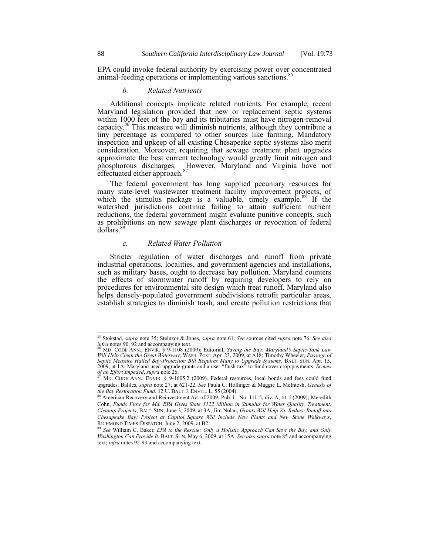EPA could invoke federal authority by exercising power over concentrated animal-feeding operations or implementing various sanctions.<sup>8</sup>

## *b. Related Nutrients*

Additional concepts implicate related nutrients. For example, recent Maryland legislation provided that new or replacement septic systems within 1000 feet of the bay and its tributaries must have nitrogen-removal capacity.<sup>86</sup> This measure will diminish nutrients, although they contribute a tiny percentage as compared to other sources like farming. Mandatory inspection and upkeep of all existing Chesapeake septic systems also merit consideration. Moreover, requiring that sewage treatment plant upgrades approximate the best current technology would greatly limit nitrogen and phosphorous discharges. However, Maryland and Virginia have not effectuated either approach.<sup>87</sup>

The federal government has long supplied pecuniary resources for many state-level wastewater treatment facility improvement projects, of which the stimulus package is a valuable, timely example.<sup>88</sup> If the watershed jurisdictions continue failing to attain sufficient nutrient reductions, the federal government might evaluate punitive concepts, such as prohibitions on new sewage plant discharges or revocation of federal dollars.<sup>8</sup>

## *c. Related Water Pollution*

Stricter regulation of water discharges and runoff from private industrial operations, localities, and government agencies and installations, such as military bases, ought to decrease bay pollution. Maryland counters the effects of stormwater runoff by requiring developers to rely on procedures for environmental site design which treat runoff. Maryland also helps densely-populated government subdivisions retrofit particular areas, establish strategies to diminish trash, and create pollution restrictions that

<sup>85</sup> Stokstad, *supra* note 35; Steinzor & Jones, *supra* note 61. *See* sources cited *supra* note 76. *See also infra* notes 90, 92 and accompanying text.

<sup>86</sup> MD. CODE ANN., ENVIR. § 9-1108 (2009); Editorial, *Saving the Bay: Maryland's Septic-Tank Law Will Help Clean the Great Waterway*, WASH. POST, Apr. 23, 2009, at A18; Timothy Wheeler, *Passage of Septic Measure Hailed Bay-Protection Bill Requires Many to Upgrade Systems*, BALT. SUN, Apr. 15, 2009, at 1A. Maryland used upgrade grants and a user "flush tax" to fund cover crop payments. *Scenes of an Effort Impeded*, *supra* note 26.

<sup>87</sup> MD. CODE ANN., ENVIR. § 9-1605.2 (2009). Federal resources, local bonds and fees could fund upgrades. Baliles, *supra* note 27, at 621-22. *See* Paula C. Hollinger & Maggie L. McIntosh, *Genesis of the Bay Restoration Fund*, 12 U. BALT. J. ENVTL. L. 55 (2004).

<sup>88</sup> American Recovery and Reinvestment Act of 2009, Pub. L. No. 111-5, div. A, tit. I (2009); Meredith Cohn, *Funds Flow for Md. EPA Gives State \$122 Million in Stimulus for Water Quality, Treatment, Cleanup Projects*, BALT. SUN, June 3, 2009, at 3A; Jim Nolan, *Grants Will Help Va. Reduce Runoff into Chesapeake Bay: Project at Capitol Square Will Include New Plants and New Stone Walkways*, RICHMOND TIMES-DISPATCH, June 2, 2009, at B2.

<sup>89</sup> *See* William C. Baker, *EPA to the Rescue: Only a Holistic Approach Can Save the Bay, and Only Washington Can Provide It*, BALT. SUN, May 6, 2009, at 15A. *See also supra* note 85 and accompanying text; *infra* notes 92-93 and accompanying text.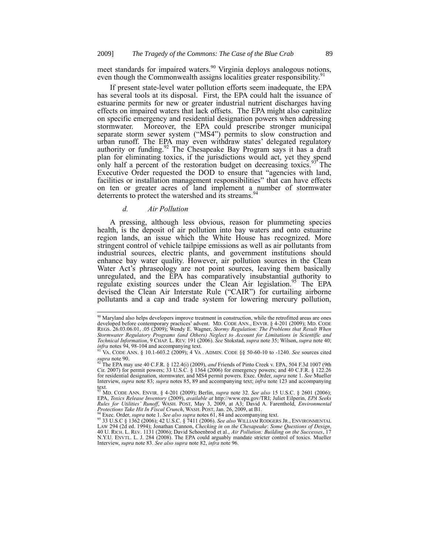meet standards for impaired waters.<sup>90</sup> Virginia deploys analogous notions, even though the Commonwealth assigns localities greater responsibility.<sup>9</sup>

If present state-level water pollution efforts seem inadequate, the EPA has several tools at its disposal. First, the EPA could halt the issuance of estuarine permits for new or greater industrial nutrient discharges having effects on impaired waters that lack offsets. The EPA might also capitalize on specific emergency and residential designation powers when addressing stormwater. Moreover, the EPA could prescribe stronger municipal Moreover, the EPA could prescribe stronger municipal separate storm sewer system ("MS4") permits to slow construction and urban runoff. The EPA may even withdraw states' delegated regulatory authority or funding.<sup>92</sup> The Chesapeake Bay Program says it has a draft plan for eliminating toxics, if the jurisdictions would act, yet they spend only half a percent of the restoration budget on decreasing toxics.<sup>93</sup> The Executive Order requested the DOD to ensure that "agencies with land, facilities or installation management responsibilities" that can have effects on ten or greater acres of land implement a number of stormwater deterrents to protect the watershed and its streams.<sup>94</sup>

## *d. Air Pollution*

 $\overline{1}$ 

A pressing, although less obvious, reason for plummeting species health, is the deposit of air pollution into bay waters and onto estuarine region lands, an issue which the White House has recognized. More stringent control of vehicle tailpipe emissions as well as air pollutants from industrial sources, electric plants, and government institutions should enhance bay water quality. However, air pollution sources in the Clean Water Act's phraseology are not point sources, leaving them basically unregulated, and the EPA has comparatively insubstantial authority to regulate existing sources under the Clean Air legislation.<sup>95</sup> The EPA devised the Clean Air Interstate Rule ("CAIR") for curtailing airborne pollutants and a cap and trade system for lowering mercury pollution,

 $90$  Maryland also helps developers improve treatment in construction, while the retrofitted areas are ones developed before contemporary practices' advent. MD. CODE ANN., ENVIR. § 4-201 (2009); MD. CODE REGS. 26.03.06.01, .05 (2009); Wendy E. Wagner, *Stormy Regulation: The Problems that Result When*  Stormwater Regulatory Programs (and Others) Neglect to Account for Limitations in Scientific and<br>Technical Information, 9 CHAP. L. REV. 191 (2006). See Stokstad, supra note 35; Wilson, supra note 40; *infra* notes 94, 98-104 and accompanying text. <sup>91</sup> VA. CODE ANN. § 10.1-603.2 (2009); 4 VA . ADMIN. CODE §§ 50-60-10 to -1240. *See* sources cited

*supra* note 90. <sup>92</sup> The EPA may use 40 C.F.R. § 122.4(i) (2009), *and* Friends of Pinto Creek v. EPA, 504 F.3d 1007 (9th Cir. 2007) for permit powers; 33 U.S.C. § 1364 (2006) for emergency powers; and 40 C.F.R. § 122.26 for residential designation, stormwater, and MS4 permit powers. Exec. Order, *supra* note 1. *See* Mueller Interview, *supra* note 83; *supra* notes 85, 89 and accompanying text; *infra* note 123 and accompanying

ext.<br><sup>93</sup> MD. CODE ANN. ENVIR. § 4-201 (2009); Berlin, *supra* note 32. *See also* 15 U.S.C. § 2601 (2006); EPA, *Toxics Release Inventory* (2009), *available at http://www.epa.gov/TRI; Juliet Eilperin, EPA Seeks* Rules for Utilities' Runoff, WASH. POST, May 3, 2009, at A3; David A. Farenthold, *Environmental*<br>Protections Take Hit In Fiscal Crunch, WASH. POST, Jan. 26, 2009, at B1.<br><sup>94</sup> Exec. Order, supra note 1. See also supra note

<sup>95</sup> 33 U.S.C § 1362 (2006); 42 U.S.C. § 7411 (2006). *See also* WILLIAM RODGERS JR., ENVIRONMENTAL LAW 294 (2d ed. 1994); Jonathan Cannon, *Checking in on the Chesapeake: Some Questions of Design*,<br>40 U. RICH. L. REV. 1131 (2006); David Schoenbrod et al., *Air Pollution: Building on the Successes*, 17 N.Y.U. ENVTL. L. J. 284 (2008). The EPA could arguably mandate stricter control of toxics. Mueller Interview, *supra* note 83. *See also supra* note 82, *infra* note 96.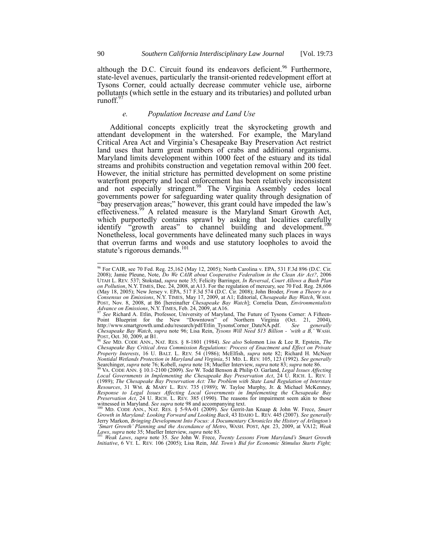although the D.C. Circuit found its endeavors deficient.<sup>96</sup> Furthermore, state-level avenues, particularly the transit-oriented redevelopment effort at Tysons Corner, could actually decrease commuter vehicle use, airborne pollutants (which settle in the estuary and its tributaries) and polluted urban runoff.<sup>9</sup>

## *e. Population Increase and Land Use*

Additional concepts explicitly treat the skyrocketing growth and attendant development in the watershed. For example, the Maryland Critical Area Act and Virginia's Chesapeake Bay Preservation Act restrict land uses that harm great numbers of crabs and additional organisms. Maryland limits development within 1000 feet of the estuary and its tidal streams and prohibits construction and vegetation removal within 200 feet. However, the initial stricture has permitted development on some pristine waterfront property and local enforcement has been relatively inconsistent and not especially stringent.<sup>98</sup> The Virginia Assembly cedes local governments power for safeguarding water quality through designation of "bay preservation areas;" however, this grant could have impeded the law's effectiveness.<sup>99</sup> A related measure is the Maryland Smart Growth Act, which purportedly contains sprawl by asking that localities carefully identify "growth areas" to channel building and development.<sup>100</sup> Nonetheless, local governments have delineated many such places in ways that overrun farms and woods and use statutory loopholes to avoid the statute's rigorous demands.<sup>101</sup>

<sup>101</sup> *Weak Laws*, *supra* note 35. *See* John W. Frece, *Twenty Lessons From Maryland's Smart Growth Initiative*, 6 VT. L. REV. 106 (2005); Lisa Rein, *Md. Town's Bid for Economic Stimulus Starts Fight;* 

<sup>96</sup> For CAIR, see 70 Fed. Reg. 25,162 (May 12, 2005); North Carolina v. EPA, 531 F.3d 896 (D.C. Cir. 2008); Jamie Pleune, Note, *Do We CAIR about Cooperative Federalism in the Clean Air Act?*, 2006<br>UTAH L. REV. 537; Stokstad, *supra* note 35; Felicity Barringer, *In Reversal, Court Allows a Bush Plan on Pollution*, N.Y. TIMES, Dec. 24, 2008, at A13. For the regulation of mercury, see 70 Fed. Reg. 28,606 (May 18, 2005); New Jersey v. EPA, 517 F.3d 574 (D.C. Čir. 2008); John Broder, *From a Theory to a*<br>Consensus on Emissions, N.Y. TIMES, May 17, 2009, at A1; Editorial, *Chesapeake Bay Watch*, WASH. POST, Nov. 8, 2008, at B6 [hereinafter *Chesapeake Bay Watch*]; Cornelia Dean, *Environmentalists Advance on Emissions*, N.Y. TIMES, Feb. 24, 2009, at A16.

<sup>97</sup> *See* Richard A. Etlin, Professor, University of Maryland, The Future of Tysons Corner: A Fifteen-Point Blueprint for the New "Downtown" of Northern Virginia (Oct. 21, 2004), http://www.smartgrowth.umd.edu/research/pdf/Etlin\_TysonsCorner\_DateNA.pdf. *See generally Chesapeake Bay Watch*, *supra* note 96; Lisa Rein, *Tysons Will Need \$15 Billion - 'with a B,'* WASH. POST, Oct. 30, 2009, at B1.

<sup>98</sup> *See* MD. CODE ANN., NAT. RES. § 8-1801 (1984). *See also* Solomon Liss & Lee R. Epstein, *The Chesapeake Bay Critical Area Commission Regulations: Process of Enactment and Effect on Private Property Interests*, 16 U. BALT. L. REV. 54 (1986); McElfish, *supra* note 82; Richard H. McNeer *Nontidal Wetlands Protection in Maryland and Virginia*, 51 MD. L. REV. 105, 123 (1992). *See generally*<br>Searchinger, *supra* note 76; Kobell, *supra* note 18; Mueller Interview, *supra* note 83; *supra* note 86.<br><sup>99</sup> VA.

*Local Governments in Implementing the Chesapeake Bay Preservation Act*, 24 U. RICH. L. REV. 1 (1989); *The Chesapeake Bay Preservation Act: The Problem with State Land Regulation of Interstate Resources*, 31 WM. & MARY L. REV. 735 (1989); W. Tayloe Murphy, Jr. & Michael McKenney, *Response to Legal Issues Affecting Local Governments in Implementing the Chesapeake Bay Preservation Act*, 24 U. RICH. L. REV. 385 (1990). The reasons for impairment seem akin to those witnessed in Maryland. *See supra* note 98 and accompanying text.

<sup>100</sup> MD. CODE ANN., NAT. RES. § 5-9A-01 (2009). *See* Gerrit-Jan Knaap & John W. Frece, *Smart Growth in Maryland: Looking Forward and Looking Back*, 43 IDAHO L. REV. 445 (2007). *See generally*  Jerry Markon, *Bringing Development Into Focus: A Documentary Chronicles the History of Arlington's 'Smart Growth' Planning and the Ascendance of Metro*, WASH. POST, Apr. 23, 2009, at VA12; *Weak Laws*, *supra* note 35; Mueller Interview, *supra* note 83.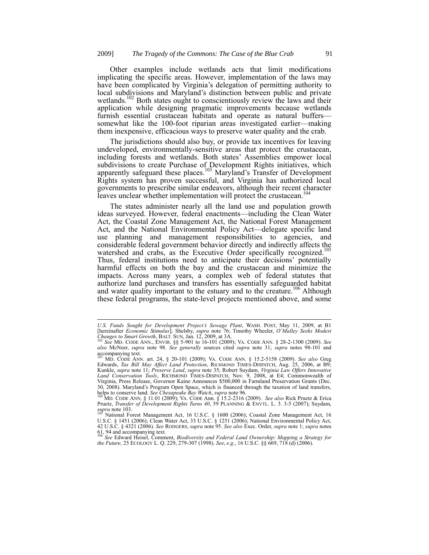Other examples include wetlands acts that limit modifications implicating the specific areas. However, implementation of the laws may have been complicated by Virginia's delegation of permitting authority to local subdivisions and Maryland's distinction between public and private wetlands.<sup>102</sup> Both states ought to conscientiously review the laws and their application while designing pragmatic improvements because wetlands furnish essential crustacean habitats and operate as natural buffers somewhat like the 100-foot riparian areas investigated earlier—making them inexpensive, efficacious ways to preserve water quality and the crab.

The jurisdictions should also buy, or provide tax incentives for leaving undeveloped, environmentally-sensitive areas that protect the crustacean, including forests and wetlands. Both states' Assemblies empower local subdivisions to create Purchase of Development Rights initiatives, which apparently safeguard these places.<sup>103</sup> Maryland's Transfer of Development Rights system has proven successful, and Virginia has authorized local governments to prescribe similar endeavors, although their recent character leaves unclear whether implementation will protect the crustacean.<sup>104</sup>

The states administer nearly all the land use and population growth ideas surveyed. However, federal enactments—including the Clean Water Act, the Coastal Zone Management Act, the National Forest Management Act, and the National Environmental Policy Act—delegate specific land use planning and management responsibilities to agencies, and considerable federal government behavior directly and indirectly affects the watershed and crabs, as the Executive Order specifically recognized.<sup>105</sup> Thus, federal institutions need to anticipate their decisions' potentially harmful effects on both the bay and the crustacean and minimize the impacts. Across many years, a complex web of federal statutes that authorize land purchases and transfers has essentially safeguarded habitat and water quality important to the estuary and to the creature.<sup>106</sup> Although these federal programs, the state-level projects mentioned above, and some

*U.S. Funds Sought for Development Project's Sewage Plant*, WASH. POST, May 11, 2009, at B1 [hereinafter *Economic Stimulus*]; Shelsby, *supra* note 76; Timothy Wheeler, *O'Malley Seeks Modest Changes to Smart Growth*, BALT. SUN, Jan. 12, 2009, at 3A. <sup>102</sup> *See* MD. CODE ANN., ENVIR. §§ 5-901 to 16-101 (2009); VA. CODE ANN. § 28-2-1300 (2009). *See*

*also* McNeer, *supra* note 98. *See generally* sources cited *supra* note 31; *supra* notes 98-101 and  $\frac{200}{103}$  accompanying text.

<sup>103</sup> MD. CODE ANN. art. 24, § 20-101 (2009); VA. CODE ANN. § 15.2-5158 (2009). *See also* Greg Edwards, *Tax Bill May Affect Land Protection*, RICHMOND TIMES-DISPATCH, Aug. 25, 2006, at B9; Kunkle, *supra* note 11; *Preserve Land*, *supra* note 35; Robert Suydam, *Virginia Law Offers Innovative Land Conservation Tools*, RICHMOND TIMES-DISPATCH, Nov. 9, 2008, at E4; Commonwealth of Virginia, Press Release, Governor Kaine Announces \$500,000 in Farmland Preservation Grants (Dec. 30, 2008). Maryland's Program Open Space, which is financed through the taxation of land transfers, helps to conserve land. *See Chesapeake Bay Watch*, *supra* note 96. <sup>104</sup> MD. CODE ANN. § 11.01 (2009); VA. CODE Ann. § 15.2-2316 (2009). *See also* Rick Pruetz & Erica

Pruetz, *Transfer of Development Rights Turns 40*, 59 PLANNING & ENVTL. L. 3. 3-5 (2007); Suydam,  $\int_{105}^{5}$  *supra* note 103.

<sup>&</sup>lt;sup>105</sup> National Forest Management Act, 16 U.S.C. § 1600 (2006); Coastal Zone Management Act, 16 U.S.C. § 1451 (2006); Clean Water Act, 33 U.S.C. § 1251 (2006); National Environmental Policy Act, 42 U.S.C. § 4321 (2006). *See* RODGERS, *supra* note 95. *See also* Exec. Order, *supra* note 1; *supra* notes 61, 94 and accompanying text. <sup>106</sup> *See* Edward Heisel, Comment, *Biodiversity and Federal Land Ownership*: *Mapping a Strategy for* 

*the Future,* 25 ECOLOGY L. Q. 229, 279-307 (1998). *See*, *e.g.*, 16 U.S.C. §§ 669, 718 (d) (2006).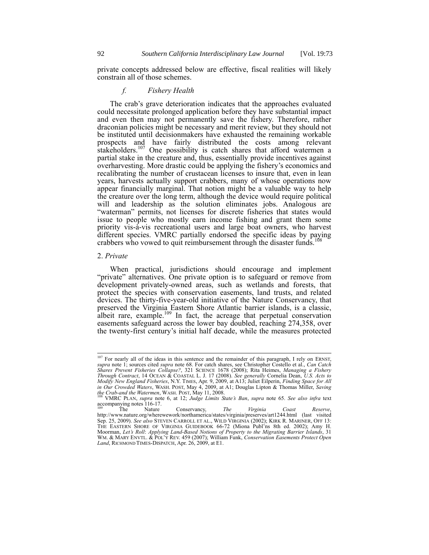private concepts addressed below are effective, fiscal realities will likely constrain all of those schemes.

## *f. Fishery Health*

The crab's grave deterioration indicates that the approaches evaluated could necessitate prolonged application before they have substantial impact and even then may not permanently save the fishery. Therefore, rather draconian policies might be necessary and merit review, but they should not be instituted until decisionmakers have exhausted the remaining workable prospects and have fairly distributed the costs among relevant stakeholders.<sup>107</sup> One possibility is catch shares that afford watermen a partial stake in the creature and, thus, essentially provide incentives against overharvesting. More drastic could be applying the fishery's economics and recalibrating the number of crustacean licenses to insure that, even in lean years, harvests actually support crabbers, many of whose operations now appear financially marginal. That notion might be a valuable way to help the creature over the long term, although the device would require political will and leadership as the solution eliminates jobs. Analogous are "waterman" permits, not licenses for discrete fisheries that states would issue to people who mostly earn income fishing and grant them some priority vis-à-vis recreational users and large boat owners, who harvest different species. VMRC partially endorsed the specific ideas by paying crabbers who vowed to quit reimbursement through the disaster funds.<sup>1</sup>

## 2. *Private*

 $\overline{\phantom{a}}$ 

When practical, jurisdictions should encourage and implement "private" alternatives. One private option is to safeguard or remove from development privately-owned areas, such as wetlands and forests, that protect the species with conservation easements, land trusts, and related devices. The thirty-five-year-old initiative of the Nature Conservancy, that preserved the Virginia Eastern Shore Atlantic barrier islands, is a classic, albeit rare, example.<sup>109</sup> In fact, the acreage that perpetual conservation easements safeguard across the lower bay doubled, reaching 274,358, over the twenty-first century's initial half decade, while the measures protected

<sup>&</sup>lt;sup>107</sup> For nearly all of the ideas in this sentence and the remainder of this paragraph, I rely on ERNST, *supra* note 1; sources cited *supra* note 68. For catch shares, see Christopher Costello et al., *Can Catch*  Shares Prevent Fisheries Collapse?, 321 SCIENCE 1678 (2008); Rita Heimes, Managing a Fishery<br>Through Contract, 14 OCEAN & COASTAL L. J. 17 (2008). See generally Cornelia Dean, U.S. Acts to<br>Modify New England Fisheries, N.Y in Our Crowded Waters, WASH. POST, May 4, 2009, at A1; Douglas Lipton & Thomas Miller, Saving<br>the Crab-and the Watermen, WASH. POST, May 11, 2008.<br><sup>108</sup> VMRC PLAN, *supra* note 6, at 12; Judge Limits State's Ban, supra not

accompanying notes 116-17.

<sup>&</sup>lt;sup>109</sup> The Nature Conservancy, *The Virginia Coast Reserve*, *Reserve*, *http://www.nature.org/wherewework/northamerica/states/virginia/preserves/art1244.html* (last visited Sep. 25, 2009). *See also* STEVEN CARROLL ET AL., WILD VIRGINIA (2002); KIRK R. MARINER, OFF 13:<br>THE EASTERN SHORE OF VIRGINIA GUIDEBOOK 66-72 (Miona Publ'ns 8th ed. 2002); Amy H.<br>Moorman, *Let's Roll: Applying Land-Based* WM. & MARY ENVTL. & POL'Y REV. 459 (2007); William Funk, *Conservation Easements Protect Open Land*, RICHMOND TIMES-DISPATCH, Apr. 26, 2009, at E1.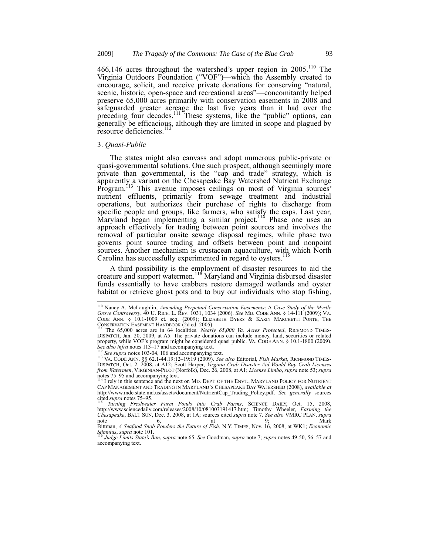466,146 acres throughout the watershed's upper region in  $2005$ .<sup>110</sup> The Virginia Outdoors Foundation ("VOF")—which the Assembly created to encourage, solicit, and receive private donations for conserving "natural, scenic, historic, open-space and recreational areas"—concomitantly helped preserve 65,000 acres primarily with conservation easements in 2008 and safeguarded greater acreage the last five years than it had over the preceding four decades.<sup>111</sup> These systems, like the "public" options, can generally be efficacious, although they are limited in scope and plagued by resource deficiencies.<sup>11</sup>

#### 3. *Quasi-Public*

1

The states might also canvass and adopt numerous public-private or quasi-governmental solutions. One such prospect, although seemingly more private than governmental, is the "cap and trade" strategy, which is apparently a variant on the Chesapeake Bay Watershed Nutrient Exchange Program.<sup>113</sup> This avenue imposes ceilings on most of Virginia sources' nutrient effluents, primarily from sewage treatment and industrial operations, but authorizes their purchase of rights to discharge from specific people and groups, like farmers, who satisfy the caps. Last year, Maryland began implementing a similar project.<sup>114</sup> Phase one uses an approach effectively for trading between point sources and involves the removal of particular onsite sewage disposal regimes, while phase two governs point source trading and offsets between point and nonpoint sources. Another mechanism is crustacean aquaculture, with which North Carolina has successfully experimented in regard to oysters.<sup>115</sup>

A third possibility is the employment of disaster resources to aid the creature and support watermen.<sup>116</sup> Maryland and Virginia disbursed disaster funds essentially to have crabbers restore damaged wetlands and oyster habitat or retrieve ghost pots and to buy out individuals who stop fishing,

CAP MANAGEMENT AND TRADING IN MARYLAND'S CHESAPEAKE BAY WATERSHED (2008), *available at* http://www.mde.state.md.us/assets/document/NutrientCap\_Trading\_Policy.pdf. *See generally* sources cited *supra* notes 75–95.

*Stimulus*, *supra* note 101. <sup>116</sup> *Judge Limits State's Ban*, *supra* note 65. *See* Goodman, *supra* note 7; *supra* notes 49-50, 56–57 and

<sup>110</sup> Nancy A. McLaughlin, *Amending Perpetual Conservation Easements*: A *Case Study of the Myrtle Grove Controversy*, 40 U. RICH. L. REV. 1031, 1034 (2006). *See* MD. CODE ANN. § 14-111 (2009); VA. CODE ANN. § 10.1-1009 et. seq. (2009); ELIZABETH BYERS & KARIN MARCHETTI PONTE, THE CONSERVATION EASEMENT HANDBOOK (2d ed. 2005).

<sup>111</sup> The 65,000 acres are in 64 localities. *Nearly 65*,*000 Va. Acres Protected*, RICHMOND TIMES-DISPATCH, Jan. 20, 2009, at A5. The private donations can include money, land, securities or related property, while VOF's program might be considered quasi public. VA. CODE ANN. § 10.1-1800 (2009). *See also infra* notes 113–17 and accompanying text. <sup>112</sup> *See supra* notes 103-04, 106 and accompanying text.

<sup>&</sup>lt;sup>113</sup> VA. CODE ANN. §§ 62.1-44.19:12–19:19 (2009). *See also* Editorial, *Fish Market*, RICHMOND TIMES-<br>DISPATCH, Oct. 2, 2008, at A12; Scott Harper, *Virginia Crab Disaster Aid Would Buy Crab Licenses from Watermen*, VIRGINIAN-PILOT (Norfolk), Dec. 26, 2008, at A1; *License Limbo*, *supra* note 53; *supra* notes 75–95 and accompanying text.<br><sup>114</sup> I rely in this sentence and the next on MD. DEPT. OF THE ENVT., MARYLAND POLICY FOR NUTRIENT

<sup>115</sup> *Turning Freshwater Farm Ponds into Crab Farms*, SCIENCE DAILY, Oct. 15, 2008, http://www.sciencedaily.com/releases/2008/10/081003191417.htm; Timothy Wheeler, *Farming the Chesapeake*, BALT. SUN, Dec. 3, 2008, at 1A; sources cited *supra* note 7. See also VMRC PLAN, supra note 6, 6, at 9; Mark<br>Bittman, *A Seafood Snob Ponders the Future of Fish*, N.Y. TIMES, Nov. 16, 2008, at WK1; *Economic* 

accompanying text.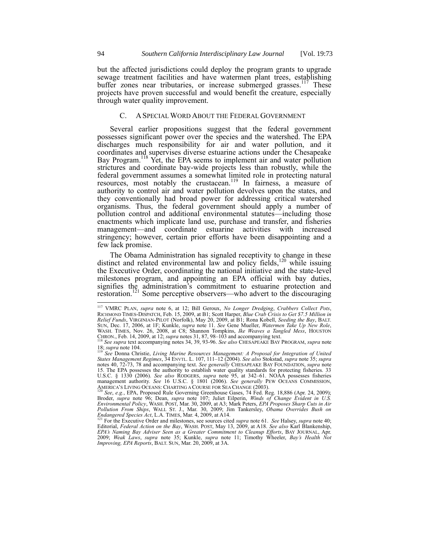but the affected jurisdictions could deploy the program grants to upgrade sewage treatment facilities and have watermen plant trees, establishing buffer zones near tributaries, or increase submerged grasses.<sup>117</sup> These projects have proven successful and would benefit the creature, especially through water quality improvement.

## C. A SPECIAL WORD ABOUT THE FEDERAL GOVERNMENT

Several earlier propositions suggest that the federal government possesses significant power over the species and the watershed. The EPA discharges much responsibility for air and water pollution, and it coordinates and supervises diverse estuarine actions under the Chesapeake Bay Program.<sup>118</sup> Yet, the EPA seems to implement air and water pollution strictures and coordinate bay-wide projects less than robustly, while the federal government assumes a somewhat limited role in protecting natural resources, most notably the crustacean.<sup>119</sup> In fairness, a measure of authority to control air and water pollution devolves upon the states, and they conventionally had broad power for addressing critical watershed organisms. Thus, the federal government should apply a number of pollution control and additional environmental statutes—including those enactments which implicate land use, purchase and transfer, and fisheries management—and coordinate estuarine activities with increased stringency; however, certain prior efforts have been disappointing and a few lack promise.

The Obama Administration has signaled receptivity to change in these distinct and related environmental law and policy fields,<sup>120</sup> while issuing the Executive Order, coordinating the national initiative and the state-level milestones program, and appointing an EPA official with bay duties, signifies the administration's commitment to estuarine protection and restoration. <sup>121</sup> Some perceptive observers—who advert to the discouraging

 $\overline{\phantom{a}}$ 

<sup>117</sup> VMRC PLAN, *supra* note 6, at 12; Bill Geroux, *No Longer Dredging*, *Crabbers Collect Pots*, RICHMOND TIMES-DISPATCH, Feb. 15, 2009, at B1; Scott Harper, *Blue Crab Crisis to Get \$7.5 Million in Relief Funds*, VIRGINIAN-PILOT (Norfolk), May 20, 2009, at B1; Rona Kobell, *Seeding the Bay*, BALT. SUN, Dec. 17, 2006, at 1F; Kunkle, *supra* note 11. See Gene Mueller, *Watermen Take Up New Role,* WASH. TIMES, Nov. 26, 2008, at C8; Shannon Tompkins, *Ike Weaves a Tangled Mess*, HOUSTON CHRON., Feb. 14, 2009, at 12; *supra* notes 31, 87, 98–103 and accompanying text. <sup>118</sup> *See supra* text accompanying notes 34, 39, 93-96. *See also* CHESAPEAKE BAY PROGRAM, *supra* note

<sup>18;</sup> *supra* note 104. <sup>119</sup> *See* Donna Christie, *Living Marine Resources Management: A Proposal for Integration of United* 

*States Management Regimes*, 34 ENVTL. L. 107, 111–12 (2004). *See also* Stokstad, *supra* note 35; *supra*<br>notes 40, 72-73, 78 and accompanying text. *See generally* CHESAPEAKE BAY FOUNDATION, *supra* note 15. The EPA possesses the authority to establish water quality standards for protecting fisheries. 33 U.S.C. § 1330 (2006). *See also* RODGERS, *supra* note 95, at 342–61. NOAA possesses fisheries management authority. *Se* AMERICA'S LIVING OCEANS: CHARTING A COURSE FOR SEA CHANGE (2003).

<sup>&</sup>lt;sup>120</sup> See, e.g., EPA, Proposed Rule Governing Greenhouse Gases, 74 Fed. Reg. 18,886 (Apr. 24, 2009);<br>Broder, *supra* note 96; Dean, *supra* note 107; Juliet Eilperin, *Winds of Change Evident in U.S.* Environmental Policy, WASH. POST, Mar. 30, 2009, at A3; Mark Peters, *EPA Proposes Sharp Cuts in Air Pollution From Ships*, WALL ST. J., Mar. 30, 2009; Jim Tankersley, *Obama Overrides Bush on Endangered Species Act*, L.A.

Editorial, *Federal Action on the Bay*, WASH. POST, May 13, 2009, at A18. *See also* Karl Blankenship, *EPA's Naming Bay Adviser Seen as a Greater Commitment to Cleanup Efforts*, BAY JOURNAL, Apr. 2009; *Weak Laws*, *supra* note 35; Kunkle, *supra* note 11; Timothy Wheeler, *Bay's Health Not Improving, EPA Reports*, BALT. SUN, Mar. 20, 2009, at 3A.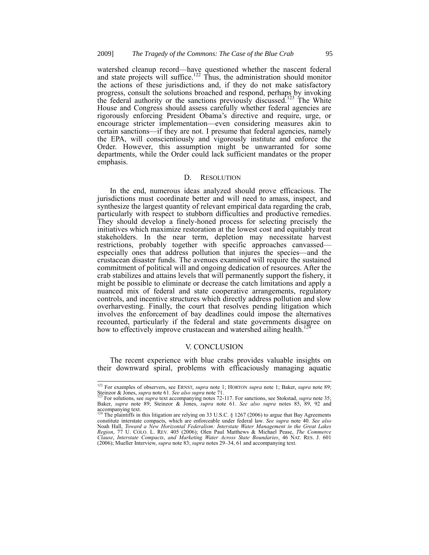watershed cleanup record—have questioned whether the nascent federal and state projects will suffice.<sup>122</sup> Thus, the administration should monitor the actions of these jurisdictions and, if they do not make satisfactory progress, consult the solutions broached and respond, perhaps by invoking the federal authority or the sanctions previously discussed.<sup>123</sup> The White House and Congress should assess carefully whether federal agencies are rigorously enforcing President Obama's directive and require, urge, or encourage stricter implementation—even considering measures akin to certain sanctions—if they are not. I presume that federal agencies, namely the EPA, will conscientiously and vigorously institute and enforce the Order. However, this assumption might be unwarranted for some departments, while the Order could lack sufficient mandates or the proper emphasis.

## D. RESOLUTION

In the end, numerous ideas analyzed should prove efficacious. The jurisdictions must coordinate better and will need to amass, inspect, and synthesize the largest quantity of relevant empirical data regarding the crab, particularly with respect to stubborn difficulties and productive remedies. They should develop a finely-honed process for selecting precisely the initiatives which maximize restoration at the lowest cost and equitably treat stakeholders. In the near term, depletion may necessitate harvest restrictions, probably together with specific approaches canvassed especially ones that address pollution that injures the species—and the crustacean disaster funds. The avenues examined will require the sustained commitment of political will and ongoing dedication of resources. After the crab stabilizes and attains levels that will permanently support the fishery, it might be possible to eliminate or decrease the catch limitations and apply a nuanced mix of federal and state cooperative arrangements, regulatory controls, and incentive structures which directly address pollution and slow overharvesting. Finally, the court that resolves pending litigation which involves the enforcement of bay deadlines could impose the alternatives recounted, particularly if the federal and state governments disagree on how to effectively improve crustacean and watershed ailing health.<sup>1</sup>

## V. CONCLUSION

The recent experience with blue crabs provides valuable insights on their downward spiral, problems with efficaciously managing aquatic

<sup>122</sup> For examples of observers, see ERNST, *supra* note 1; HORTON *supra* note 1; Baker, *supra* note 89; Steinzor & Jones, *supra* note 61. *See also supra* note 71.<br><sup>123</sup> For solutions, see *supra* text accompanying notes 72-117. For sanctions, see Stokstad, *supra* note 35;

Baker, *supra* note 89; Steinzor & Jones, *supra* note 61. *See also supra* notes 85, 89, 92 and accompanying text.

The plaintiffs in this litigation are relying on 33 U.S.C.  $\S$  1267 (2006) to argue that Bay Agreements constitute interstate compacts, which are enforceable under federal law. *See supra* note 40. *See also*  Noah Hall, *Toward a New Horizontal Federalism: Interstate Water Management in the Great Lakes Region*, 77 U. COLO. L. REV. 405 (2006); Olen Paul Matthews & Michael Pease, *The Commerce Clause*, *Interstate Compacts*, *and Marketing Water Across State Boundaries*, 46 NAT. RES. J. 601 (2006); Mueller Interview, *supra* note 83; *supra* notes 29–34, 61 and accompanying text.